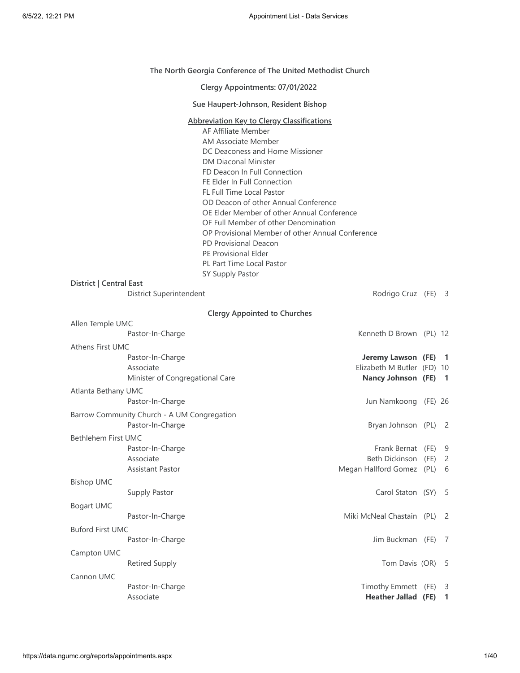## **The North Georgia Conference of The United Methodist Church**

|                         |                                                                  | The North Georgia Conference of The United Methodist Church                                                                                                                                                                                                                                                                                                                                                                                                                                                                                              |     |
|-------------------------|------------------------------------------------------------------|----------------------------------------------------------------------------------------------------------------------------------------------------------------------------------------------------------------------------------------------------------------------------------------------------------------------------------------------------------------------------------------------------------------------------------------------------------------------------------------------------------------------------------------------------------|-----|
|                         |                                                                  | Clergy Appointments: 07/01/2022                                                                                                                                                                                                                                                                                                                                                                                                                                                                                                                          |     |
|                         |                                                                  | Sue Haupert-Johnson, Resident Bishop                                                                                                                                                                                                                                                                                                                                                                                                                                                                                                                     |     |
| District   Central East |                                                                  | <b>Abbreviation Key to Clergy Classifications</b><br>AF Affiliate Member<br>AM Associate Member<br>DC Deaconess and Home Missioner<br><b>DM Diaconal Minister</b><br>FD Deacon In Full Connection<br>FE Elder In Full Connection<br><b>FL Full Time Local Pastor</b><br>OD Deacon of other Annual Conference<br>OE Elder Member of other Annual Conference<br>OF Full Member of other Denomination<br>OP Provisional Member of other Annual Conference<br>PD Provisional Deacon<br>PE Provisional Elder<br>PL Part Time Local Pastor<br>SY Supply Pastor |     |
|                         | District Superintendent                                          | Rodrigo Cruz (FE) 3                                                                                                                                                                                                                                                                                                                                                                                                                                                                                                                                      |     |
|                         |                                                                  | <b>Clergy Appointed to Churches</b>                                                                                                                                                                                                                                                                                                                                                                                                                                                                                                                      |     |
| Allen Temple UMC        | Pastor-In-Charge                                                 | Kenneth D Brown (PL) 12                                                                                                                                                                                                                                                                                                                                                                                                                                                                                                                                  |     |
| <b>Athens First UMC</b> | Pastor-In-Charge<br>Associate<br>Minister of Congregational Care | Jeremy Lawson (FE) 1<br>Elizabeth M Butler (FD) 10<br>Nancy Johnson (FE) 1                                                                                                                                                                                                                                                                                                                                                                                                                                                                               |     |
| Atlanta Bethany UMC     | Pastor-In-Charge                                                 | Jun Namkoong (FE) 26                                                                                                                                                                                                                                                                                                                                                                                                                                                                                                                                     |     |
|                         | Barrow Community Church - A UM Congregation<br>Pastor-In-Charge  | Bryan Johnson (PL) 2                                                                                                                                                                                                                                                                                                                                                                                                                                                                                                                                     |     |
| Bethlehem First UMC     | Pastor-In-Charge<br>Associate<br><b>Assistant Pastor</b>         | Frank Bernat (FE) 9<br>Beth Dickinson (FE)<br>Megan Hallford Gomez (PL) 6                                                                                                                                                                                                                                                                                                                                                                                                                                                                                | 2   |
| <b>Bishop UMC</b>       | Supply Pastor                                                    | Carol Staton (SY) 5                                                                                                                                                                                                                                                                                                                                                                                                                                                                                                                                      |     |
| Bogart UMC              | Pastor-In-Charge                                                 | Miki McNeal Chastain (PL) 2                                                                                                                                                                                                                                                                                                                                                                                                                                                                                                                              |     |
| <b>Buford First UMC</b> | Pastor-In-Charge                                                 | Jim Buckman (FE) 7                                                                                                                                                                                                                                                                                                                                                                                                                                                                                                                                       |     |
| Campton UMC             | <b>Retired Supply</b>                                            | Tom Davis (OR)                                                                                                                                                                                                                                                                                                                                                                                                                                                                                                                                           | - 5 |
| Cannon UMC              | Pastor-In-Charge<br>Associate                                    | Timothy Emmett (FE) 3<br><b>Heather Jallad (FE)</b>                                                                                                                                                                                                                                                                                                                                                                                                                                                                                                      | 1   |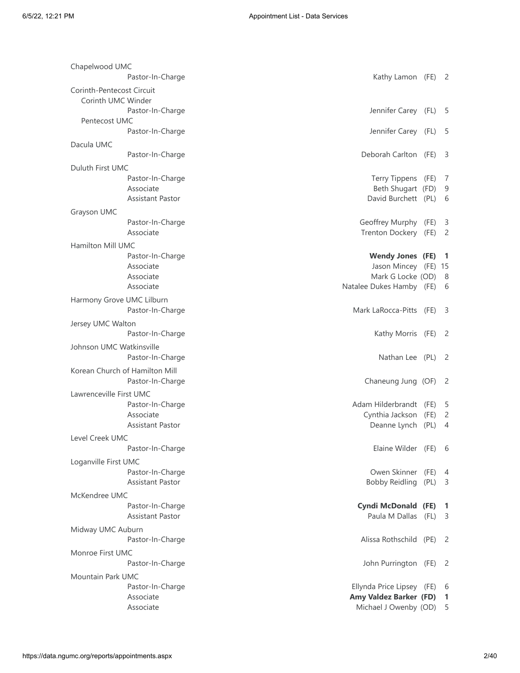| Chapelwood UMC            |                                                    |                                 |              |        |
|---------------------------|----------------------------------------------------|---------------------------------|--------------|--------|
|                           | Pastor-In-Charge                                   | Kathy Lamon (FE) 2              |              |        |
| Corinth-Pentecost Circuit |                                                    |                                 |              |        |
| Corinth UMC Winder        |                                                    |                                 |              |        |
|                           | Pastor-In-Charge                                   | Jennifer Carey (FL)             |              | - 5    |
| Pentecost UMC             |                                                    |                                 |              |        |
|                           | Pastor-In-Charge                                   | Jennifer Carey (FL)             |              | -5     |
| Dacula UMC                |                                                    |                                 |              |        |
|                           | Pastor-In-Charge                                   | Deborah Carlton (FE)            |              | 3      |
| Duluth First UMC          |                                                    |                                 |              |        |
|                           | Pastor-In-Charge                                   | Terry Tippens (FE)              |              | -7     |
|                           | Associate                                          | Beth Shugart (FD)               |              | 9      |
|                           | <b>Assistant Pastor</b>                            | David Burchett (PL)             |              | 6      |
| Grayson UMC               |                                                    |                                 |              |        |
|                           | Pastor-In-Charge                                   | Geoffrey Murphy                 | (FE)         | 3      |
|                           | Associate                                          | Trenton Dockery (FE)            |              | 2      |
| Hamilton Mill UMC         |                                                    |                                 |              |        |
|                           | Pastor-In-Charge                                   | <b>Wendy Jones (FE)</b>         |              | -1     |
|                           | Associate                                          | Jason Mincey (FE) 15            |              |        |
|                           | Associate                                          | Mark G Locke (OD)               |              | 8      |
|                           | Associate                                          | Natalee Dukes Hamby (FE)        |              | 6      |
|                           | Harmony Grove UMC Lilburn                          |                                 |              |        |
|                           | Pastor-In-Charge                                   | Mark LaRocca-Pitts (FE)         |              | -3     |
| Jersey UMC Walton         |                                                    |                                 |              |        |
|                           | Pastor-In-Charge                                   | Kathy Morris (FE)               |              | -2     |
| Johnson UMC Watkinsville  |                                                    |                                 |              |        |
|                           | Pastor-In-Charge                                   | Nathan Lee (PL)                 |              | -2     |
|                           |                                                    |                                 |              |        |
|                           | Korean Church of Hamilton Mill<br>Pastor-In-Charge | Chaneung Jung (OF)              |              | -2     |
|                           |                                                    |                                 |              |        |
| Lawrenceville First UMC   |                                                    |                                 |              |        |
|                           | Pastor-In-Charge                                   | Adam Hilderbrandt (FE)          |              | -5     |
|                           | Associate<br>Assistant Pastor                      | Cynthia Jackson<br>Deanne Lynch | (FE)<br>(PL) | 2<br>4 |
|                           |                                                    |                                 |              |        |
| Level Creek UMC           |                                                    |                                 |              |        |
|                           | Pastor-In-Charge                                   | Elaine Wilder (FE)              |              | 6      |
| Loganville First UMC      |                                                    |                                 |              |        |
|                           | Pastor-In-Charge                                   | Owen Skinner                    | (FE)         | 4      |
|                           | Assistant Pastor                                   | <b>Bobby Reidling</b>           | (PL)         | 3      |
| McKendree UMC             |                                                    |                                 |              |        |
|                           | Pastor-In-Charge                                   | <b>Cyndi McDonald (FE)</b>      |              | 1      |
|                           | <b>Assistant Pastor</b>                            | Paula M Dallas (FL)             |              | 3      |
| Midway UMC Auburn         |                                                    |                                 |              |        |
|                           | Pastor-In-Charge                                   | Alissa Rothschild (PE)          |              | -2     |
| Monroe First UMC          |                                                    |                                 |              |        |
|                           | Pastor-In-Charge                                   | John Purrington (FE)            |              | 2      |
| Mountain Park UMC         |                                                    |                                 |              |        |
|                           | Pastor-In-Charge                                   | Ellynda Price Lipsey (FE)       |              | 6      |
|                           | Associate                                          | Amy Valdez Barker (FD)          |              | 1      |
|                           | Associate                                          | Michael J Owenby (OD)           |              | 5      |
|                           |                                                    |                                 |              |        |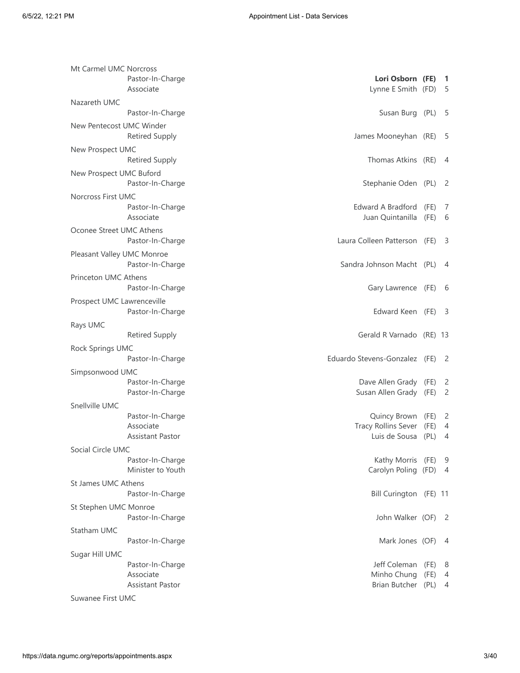| Mt Carmel UMC Norcross     | Pastor-In-Charge<br>Associate                            | Lori Osborn (FE)<br>Lynne E Smith (FD)                      |                      | 1<br>- 5                   |
|----------------------------|----------------------------------------------------------|-------------------------------------------------------------|----------------------|----------------------------|
| Nazareth UMC               |                                                          |                                                             |                      |                            |
|                            | Pastor-In-Charge                                         | Susan Burg (PL)                                             |                      | - 5                        |
| New Pentecost UMC Winder   | <b>Retired Supply</b>                                    | James Mooneyhan (RE)                                        |                      | -5                         |
| New Prospect UMC           | <b>Retired Supply</b>                                    | Thomas Atkins (RE)                                          |                      | -4                         |
| New Prospect UMC Buford    | Pastor-In-Charge                                         | Stephanie Oden (PL)                                         |                      | - 2                        |
| <b>Norcross First UMC</b>  | Pastor-In-Charge<br>Associate                            | Edward A Bradford<br>Juan Quintanilla                       | (FE)<br>(FE)         | 7<br>6                     |
| Oconee Street UMC Athens   | Pastor-In-Charge                                         | Laura Colleen Patterson                                     | (FE)                 | -3                         |
| Pleasant Valley UMC Monroe | Pastor-In-Charge                                         | Sandra Johnson Macht (PL)                                   |                      | - 4                        |
| Princeton UMC Athens       | Pastor-In-Charge                                         | Gary Lawrence (FE) 6                                        |                      |                            |
| Prospect UMC Lawrenceville | Pastor-In-Charge                                         | Edward Keen (FE)                                            |                      | - 3                        |
| Rays UMC                   | <b>Retired Supply</b>                                    | Gerald R Varnado (RE) 13                                    |                      |                            |
| Rock Springs UMC           | Pastor-In-Charge                                         | Eduardo Stevens-Gonzalez (FE)                               |                      | $\overline{\phantom{0}}^2$ |
| Simpsonwood UMC            |                                                          |                                                             |                      |                            |
|                            | Pastor-In-Charge<br>Pastor-In-Charge                     | Dave Allen Grady (FE)<br>Susan Allen Grady (FE)             |                      | 2<br>2                     |
| Snellville UMC             |                                                          |                                                             |                      |                            |
|                            | Pastor-In-Charge<br>Associate<br><b>Assistant Pastor</b> | Quincy Brown<br><b>Tracy Rollins Sever</b><br>Luis de Sousa | (FE)<br>(FE)<br>(PL) | 2<br>4<br>4                |
| Social Circle UMC          |                                                          |                                                             |                      |                            |
|                            | Pastor-In-Charge<br>Minister to Youth                    | Kathy Morris (FE)<br>Carolyn Poling (FD) 4                  |                      | - 9                        |
| St James UMC Athens        | Pastor-In-Charge                                         | Bill Curington (FE) 11                                      |                      |                            |
| St Stephen UMC Monroe      | Pastor-In-Charge                                         | John Walker (OF) 2                                          |                      |                            |
| Statham UMC                |                                                          |                                                             |                      |                            |
|                            | Pastor-In-Charge                                         | Mark Jones (OF)                                             |                      | - 4                        |
| Sugar Hill UMC             |                                                          |                                                             |                      |                            |
|                            | Pastor-In-Charge<br>Associate<br><b>Assistant Pastor</b> | Jeff Coleman<br>Minho Chung<br>Brian Butcher (PL)           | (FE)<br>(FE)         | - 8<br>4<br>4              |
| Suwanee First UMC          |                                                          |                                                             |                      |                            |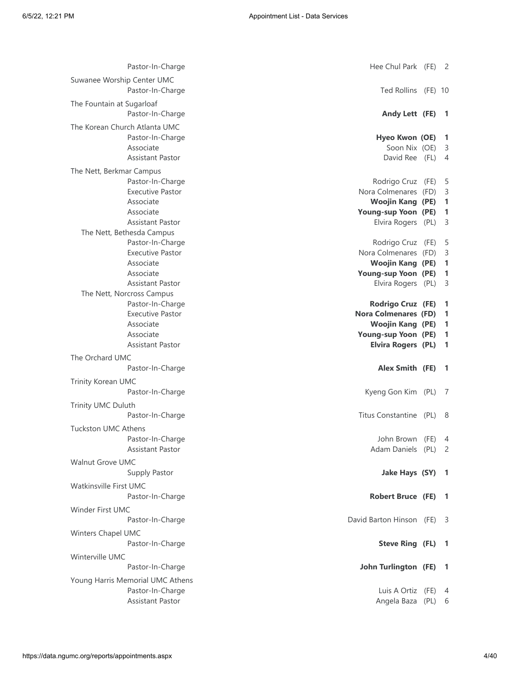Pastor-In-Charge **Hee Chul Park (FE)** 2 Suwanee Worship Center UMC Pastor-In-Charge Ted Rollins (FE) 10 The Fountain at Sugarloaf Pastor-In-Charge **Andy Lett (FE) 1** The Korean Church Atlanta UMC Pastor-In-Charge **Hyeo Kwon (OE) 1** Associate Soon Nix (OE) 3 Assistant Pastor David Ree (FL) 4 The Nett, Berkmar Campus Pastor-In-Charge **Rodrigo Cruz (FE)** 5 Executive Pastor **Nora Colmenares** (FD) 3 Associate **Woojin Kang (PE) 1** Associate **Young-sup Yoon (PE) 1** Assistant Pastor Elvira Rogers (PL) 3 The Nett, Bethesda Campus Pastor-In-Charge **Rodrigo Cruz (FE)** 5 Executive Pastor **Nora Colmenares** (FD) 3 Associate **Woojin Kang (PE) 1** Associate **Young-sup Yoon (PE) 1** Assistant Pastor Elvira Rogers (PL) 3 The Nett, Norcross Campus Pastor-In-Charge **Rodrigo Cruz (FE) 1** Executive Pastor **Nora Colmenares (FD) 1** Associate **Woojin Kang (PE) 1** Associate **Young-sup Yoon (PE) 1** Assistant Pastor **Elvira Rogers (PL) 1** The Orchard UMC Pastor-In-Charge **Alex Smith (FE) 1** Trinity Korean UMC Pastor-In-Charge **Contains a Container Container Container** Research Container Research Container Research Contain Trinity UMC Duluth Pastor-In-Charge **Titus Constantine** (PL) 8 Tuckston UMC Athens Pastor-In-Charge **Value 2018** 2019 10:00:00 10:00:00 10:00:00 10:00:00 10:00:00 10:00:00 10:00:00 10:00:00 10:00 Assistant Pastor **Adam Daniels** (PL) 2 Walnut Grove UMC Supply Pastor **Jake Hays (SY) 1** Watkinsville First UMC Pastor-In-Charge **Robert Bruce (FE) 1** Winder First UMC Pastor-In-Charge **David Barton Hinson (FE)** 3 Winters Chapel UMC Pastor-In-Charge **Steve Ring (FL) 1** Winterville UMC Pastor-In-Charge **John Turlington (FE) 1** Young Harris Memorial UMC Athens Pastor-In-Charge **Luis A Ortiz (FE)** 4 Assistant Pastor Angela Baza (PL) 6 (PL) 6 (PL) 6 (PL) 6 (PL) 6 (PL) 6 (PL) 6 (PL) 6 (PL) 6 (PL) 6 (PL) 6 (PL) 6 (PL) 6 (PL) 6 (PL) 6 (PL) 6 (PL) 6 (PL) 6 (PL) 6 (PL) 6 (PL) 6 (PL) 6 (PL) 6 (PL) 6 (PL) 6 (PL) 6 (PL) 6 (PL)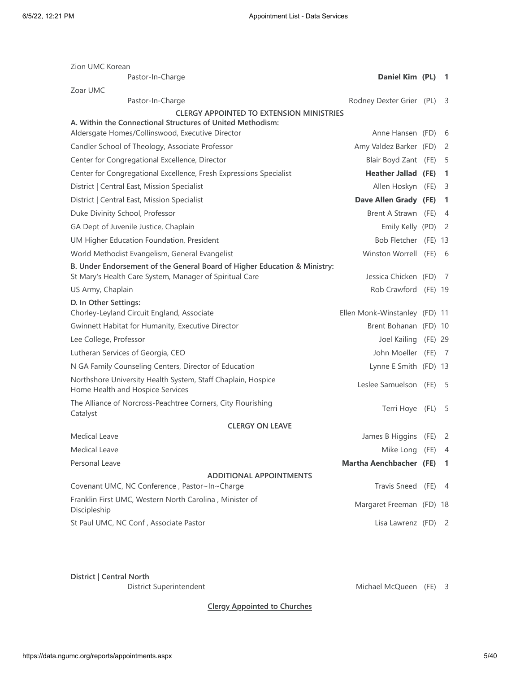| Zion UMC Korean<br>Pastor-In-Charge                                                              | Daniel Kim (PL)                | -1                         |
|--------------------------------------------------------------------------------------------------|--------------------------------|----------------------------|
| Zoar UMC                                                                                         |                                |                            |
| Pastor-In-Charge                                                                                 | Rodney Dexter Grier (PL)       | -3                         |
| <b>CLERGY APPOINTED TO EXTENSION MINISTRIES</b>                                                  |                                |                            |
| A. Within the Connectional Structures of United Methodism:                                       |                                |                            |
| Aldersgate Homes/Collinswood, Executive Director                                                 | Anne Hansen (FD)               | - 6                        |
| Candler School of Theology, Associate Professor                                                  | Amy Valdez Barker (FD)         | 2                          |
| Center for Congregational Excellence, Director                                                   | Blair Boyd Zant (FE)           | 5                          |
| Center for Congregational Excellence, Fresh Expressions Specialist                               | <b>Heather Jallad (FE)</b>     | -1                         |
| District   Central East, Mission Specialist                                                      | Allen Hoskyn (FE)              | 3                          |
| District   Central East, Mission Specialist                                                      | Dave Allen Grady (FE)          | -1.                        |
| Duke Divinity School, Professor                                                                  | Brent A Strawn (FE)            | 4                          |
| GA Dept of Juvenile Justice, Chaplain                                                            | Emily Kelly (PD)               | -2                         |
| UM Higher Education Foundation, President                                                        | Bob Fletcher (FE) 13           |                            |
| World Methodist Evangelism, General Evangelist                                                   | Winston Worrell (FE)           | - 6                        |
| B. Under Endorsement of the General Board of Higher Education & Ministry:                        |                                |                            |
| St Mary's Health Care System, Manager of Spiritual Care                                          | Jessica Chicken (FD)           | - 7                        |
| US Army, Chaplain                                                                                | Rob Crawford (FE) 19           |                            |
| D. In Other Settings:<br>Chorley-Leyland Circuit England, Associate                              | Ellen Monk-Winstanley (FD) 11  |                            |
| Gwinnett Habitat for Humanity, Executive Director                                                | Brent Bohanan (FD) 10          |                            |
| Lee College, Professor                                                                           | Joel Kailing (FE) 29           |                            |
| Lutheran Services of Georgia, CEO                                                                | John Moeller (FE)              | - 7                        |
| N GA Family Counseling Centers, Director of Education                                            | Lynne E Smith (FD) 13          |                            |
| Northshore University Health System, Staff Chaplain, Hospice<br>Home Health and Hospice Services | Leslee Samuelson (FE) 5        |                            |
| The Alliance of Norcross-Peachtree Corners, City Flourishing<br>Catalyst                         | Terri Hoye (FL)                | -5                         |
| <b>CLERGY ON LEAVE</b>                                                                           |                                |                            |
| Medical Leave                                                                                    | James B Higgins (FE)           | $\overline{\phantom{0}}^2$ |
| <b>Medical Leave</b>                                                                             | Mike Long (FE)                 | - 4                        |
| Personal Leave                                                                                   | <b>Martha Aenchbacher (FE)</b> | -1                         |
| <b>ADDITIONAL APPOINTMENTS</b>                                                                   |                                |                            |
| Covenant UMC, NC Conference, Pastor~In~Charge                                                    | Travis Sneed (FE)              | $\overline{4}$             |
| Franklin First UMC, Western North Carolina, Minister of<br>Discipleship                          | Margaret Freeman (FD) 18       |                            |
| St Paul UMC, NC Conf, Associate Pastor                                                           | Lisa Lawrenz (FD) 2            |                            |

**District | Central North**

District Superintendent Michael McQueen (FE) 3

**Clergy Appointed to Churches**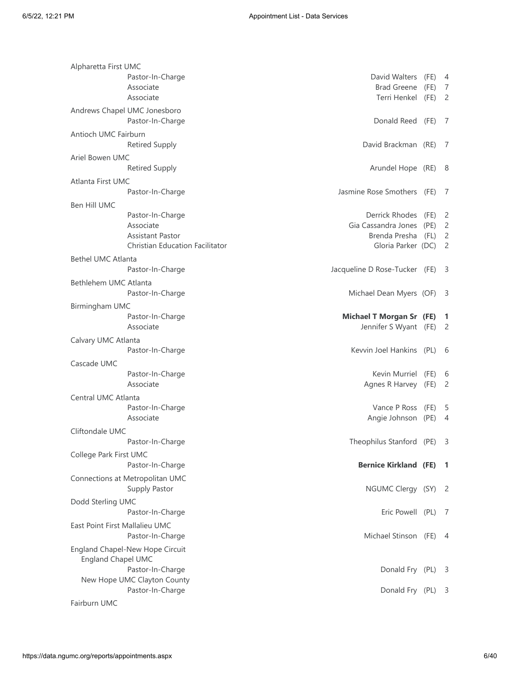| Alpharetta First UMC                                         |                                   |        |                |
|--------------------------------------------------------------|-----------------------------------|--------|----------------|
| Pastor-In-Charge                                             | David Walters                     | (FE)   | 4              |
| Associate                                                    | <b>Brad Greene</b>                | (FE)   | $\overline{7}$ |
| Associate                                                    | Terri Henkel                      | (FE)   | 2              |
| Andrews Chapel UMC Jonesboro                                 |                                   |        |                |
| Pastor-In-Charge                                             | Donald Reed (FE)                  |        | - 7            |
|                                                              |                                   |        |                |
| Antioch UMC Fairburn                                         |                                   |        |                |
| <b>Retired Supply</b>                                        | David Brackman (RE)               |        | -7             |
| Ariel Bowen UMC                                              |                                   |        |                |
| <b>Retired Supply</b>                                        | Arundel Hope (RE) 8               |        |                |
| Atlanta First UMC                                            |                                   |        |                |
| Pastor-In-Charge                                             | Jasmine Rose Smothers (FE)        |        | -7             |
| Ben Hill UMC                                                 |                                   |        |                |
| Pastor-In-Charge                                             | Derrick Rhodes                    | (FE)   | $\overline{c}$ |
| Associate                                                    | Gia Cassandra Jones               | (PE)   | $\overline{c}$ |
| <b>Assistant Pastor</b>                                      | Brenda Presha                     | (FL)   | $\overline{2}$ |
| Christian Education Facilitator                              | Gloria Parker (DC)                |        | $\overline{2}$ |
|                                                              |                                   |        |                |
| <b>Bethel UMC Atlanta</b>                                    |                                   |        |                |
| Pastor-In-Charge                                             | Jacqueline D Rose-Tucker (FE)     |        | - 3            |
| Bethlehem UMC Atlanta                                        |                                   |        |                |
| Pastor-In-Charge                                             | Michael Dean Myers (OF)           |        | - 3            |
| Birmingham UMC                                               |                                   |        |                |
| Pastor-In-Charge                                             | <b>Michael T Morgan Sr (FE) 1</b> |        |                |
| Associate                                                    | Jennifer S Wyant (FE)             |        | $\overline{c}$ |
|                                                              |                                   |        |                |
| Calvary UMC Atlanta                                          | Kevvin Joel Hankins (PL)          |        |                |
| Pastor-In-Charge                                             |                                   |        | - 6            |
| Cascade UMC                                                  |                                   |        |                |
| Pastor-In-Charge                                             | Kevin Murriel                     | (FE) 6 |                |
| Associate                                                    | Agnes R Harvey                    | (FE)   | $\overline{2}$ |
| Central UMC Atlanta                                          |                                   |        |                |
| Pastor-In-Charge                                             | Vance P Ross (FE) 5               |        |                |
| Associate                                                    | Angie Johnson (PE)                |        | 4              |
| Cliftondale UMC                                              |                                   |        |                |
| Pastor-In-Charge                                             | Theophilus Stanford (PE) 3        |        |                |
|                                                              |                                   |        |                |
| College Park First UMC                                       |                                   |        |                |
| Pastor-In-Charge                                             | <b>Bernice Kirkland (FE) 1</b>    |        |                |
| Connections at Metropolitan UMC                              |                                   |        |                |
| Supply Pastor                                                | NGUMC Clergy (SY) 2               |        |                |
| Dodd Sterling UMC                                            |                                   |        |                |
| Pastor-In-Charge                                             | Eric Powell (PL)                  |        | - 7            |
| East Point First Mallalieu UMC                               |                                   |        |                |
| Pastor-In-Charge                                             | Michael Stinson (FE) 4            |        |                |
|                                                              |                                   |        |                |
| England Chapel-New Hope Circuit<br><b>England Chapel UMC</b> |                                   |        |                |
| Pastor-In-Charge                                             | Donald Fry (PL)                   |        | - 3            |
| New Hope UMC Clayton County                                  |                                   |        |                |
| Pastor-In-Charge                                             | Donald Fry (PL)                   |        | -3             |
|                                                              |                                   |        |                |
| Fairburn UMC                                                 |                                   |        |                |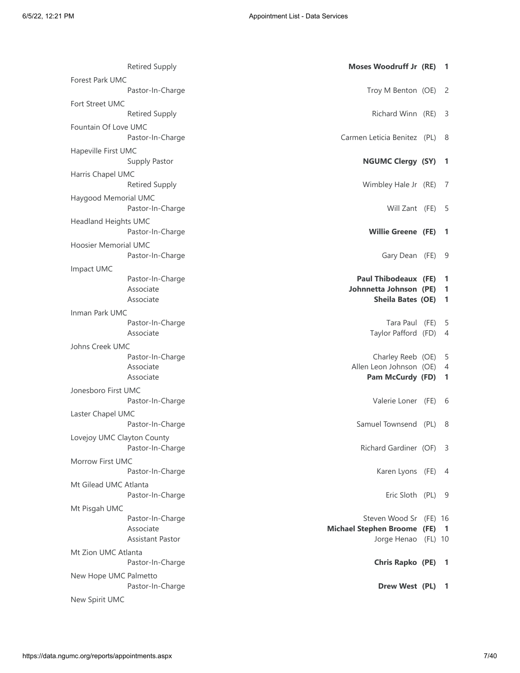| <b>Retired Supply</b>                    | Moses Woodruff Jr (RE)                                | $\blacksquare$                 |
|------------------------------------------|-------------------------------------------------------|--------------------------------|
| Forest Park UMC                          |                                                       |                                |
| Pastor-In-Charge                         | Troy M Benton (OE) 2                                  |                                |
| Fort Street UMC<br><b>Retired Supply</b> | Richard Winn (RE)                                     | - 3                            |
| Fountain Of Love UMC                     |                                                       |                                |
| Pastor-In-Charge                         | Carmen Leticia Benitez (PL) 8                         |                                |
| Hapeville First UMC                      |                                                       |                                |
| Supply Pastor                            | NGUMC Clergy (SY) 1                                   |                                |
| Harris Chapel UMC                        |                                                       |                                |
| <b>Retired Supply</b>                    | Wimbley Hale Jr (RE)                                  | $\sqrt{2}$                     |
| Haygood Memorial UMC<br>Pastor-In-Charge | Will Zant (FE) 5                                      |                                |
| <b>Headland Heights UMC</b>              |                                                       |                                |
| Pastor-In-Charge                         | <b>Willie Greene (FE)</b>                             | - 1                            |
| <b>Hoosier Memorial UMC</b>              |                                                       |                                |
| Pastor-In-Charge                         | Gary Dean (FE)                                        | - 9                            |
| Impact UMC                               |                                                       |                                |
| Pastor-In-Charge<br>Associate            | <b>Paul Thibodeaux (FE)</b><br>Johnnetta Johnson (PE) | $\overline{\phantom{0}}$<br>-1 |
| Associate                                | Sheila Bates (OE)                                     | $\blacksquare$                 |
| Inman Park UMC                           |                                                       |                                |
| Pastor-In-Charge                         | Tara Paul (FE)                                        | - 5                            |
| Associate                                | Taylor Pafford (FD)                                   | $\overline{A}$                 |
| Johns Creek UMC<br>Pastor-In-Charge      | Charley Reeb (OE)                                     | 5                              |
| Associate                                | Allen Leon Johnson (OE)                               | 4                              |
| Associate                                | Pam McCurdy (FD)                                      | $\mathbf{1}$                   |
| Jonesboro First UMC                      |                                                       |                                |
| Pastor-In-Charge                         | Valerie Loner (FE) 6                                  |                                |
| Laster Chapel UMC<br>Pastor-In-Charge    | Samuel Townsend (PL)                                  | - 8                            |
| Lovejoy UMC Clayton County               |                                                       |                                |
| Pastor-In-Charge                         | Richard Gardiner (OF) 3                               |                                |
| Morrow First UMC                         |                                                       |                                |
| Pastor-In-Charge                         | Karen Lyons (FE) 4                                    |                                |
| Mt Gilead UMC Atlanta                    |                                                       |                                |
| Pastor-In-Charge                         | Eric Sloth (PL) 9                                     |                                |
| Mt Pisgah UMC<br>Pastor-In-Charge        | Steven Wood Sr (FE) 16                                |                                |
| Associate                                | Michael Stephen Broome (FE) 1                         |                                |
| Assistant Pastor                         | Jorge Henao (FL) 10                                   |                                |
| Mt Zion UMC Atlanta                      |                                                       |                                |
| Pastor-In-Charge                         | Chris Rapko (PE) 1                                    |                                |
| New Hope UMC Palmetto                    |                                                       |                                |
| Pastor-In-Charge<br>New Spirit UMC       | Drew West (PL) 1                                      |                                |
|                                          |                                                       |                                |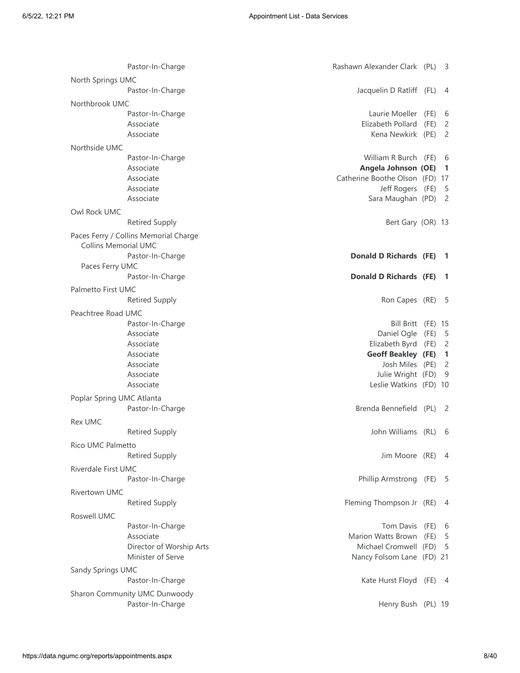|                             | Pastor-In-Charge                      | Rashawn Alexander Clark (PL)   |      | - 3            |
|-----------------------------|---------------------------------------|--------------------------------|------|----------------|
| North Springs UMC           |                                       |                                |      |                |
|                             | Pastor-In-Charge                      | Jacquelin D Ratliff (FL)       |      | -4             |
| Northbrook UMC              |                                       |                                |      |                |
|                             | Pastor-In-Charge                      | Laurie Moeller                 | (FE) | 6              |
|                             | Associate                             | Elizabeth Pollard              | (FE) | 2              |
|                             | Associate                             | Kena Newkirk (PE)              |      | 2              |
|                             |                                       |                                |      |                |
| Northside UMC               |                                       |                                |      |                |
|                             | Pastor-In-Charge                      | William R Burch (FE)           |      | - 6            |
|                             | Associate                             | Angela Johnson (OE)            |      | -1             |
|                             | Associate                             | Catherine Boothe Olson (FD) 17 |      |                |
|                             | Associate                             | Jeff Rogers (FE)               |      | - 5            |
|                             | Associate                             | Sara Maughan (PD)              |      | $\overline{c}$ |
| Owl Rock UMC                |                                       |                                |      |                |
|                             | <b>Retired Supply</b>                 | Bert Gary (OR) 13              |      |                |
|                             | Paces Ferry / Collins Memorial Charge |                                |      |                |
| <b>Collins Memorial UMC</b> |                                       |                                |      |                |
|                             | Pastor-In-Charge                      | Donald D Richards (FE)         |      | - 1            |
| Paces Ferry UMC             |                                       |                                |      |                |
|                             | Pastor-In-Charge                      | <b>Donald D Richards (FE)</b>  |      | -1             |
| Palmetto First UMC          |                                       |                                |      |                |
|                             | <b>Retired Supply</b>                 | Ron Capes (RE)                 |      | - 5            |
|                             |                                       |                                |      |                |
| Peachtree Road UMC          |                                       |                                |      |                |
|                             | Pastor-In-Charge                      | Bill Britt (FE) 15             |      |                |
|                             | Associate                             | Daniel Ogle                    | (FE) | 5              |
|                             | Associate                             | Elizabeth Byrd                 | (FE) | $\overline{c}$ |
|                             | Associate                             | <b>Geoff Beakley (FE)</b>      |      | 1              |
|                             | Associate                             | Josh Miles (PE)                |      | $\overline{c}$ |
|                             | Associate                             | Julie Wright (FD)              |      | 9              |
|                             | Associate                             | Leslie Watkins (FD) 10         |      |                |
| Poplar Spring UMC Atlanta   |                                       |                                |      |                |
|                             | Pastor-In-Charge                      | Brenda Bennefield (PL)         |      | -2             |
|                             |                                       |                                |      |                |
| <b>Rex UMC</b>              |                                       |                                |      |                |
|                             | <b>Retired Supply</b>                 | John Williams (RL) 6           |      |                |
| Rico UMC Palmetto           |                                       |                                |      |                |
|                             | <b>Retired Supply</b>                 | Jim Moore (RE) 4               |      |                |
| Riverdale First UMC         |                                       |                                |      |                |
|                             | Pastor-In-Charge                      | Phillip Armstrong (FE)         |      | - 5            |
|                             |                                       |                                |      |                |
| Rivertown UMC               |                                       |                                |      |                |
|                             | <b>Retired Supply</b>                 | Fleming Thompson Jr (RE)       |      | - 4            |
| Roswell UMC                 |                                       |                                |      |                |
|                             | Pastor-In-Charge                      | Tom Davis                      | (FE) | - 6            |
|                             | Associate                             | Marion Watts Brown             | (FE) | - 5            |
|                             | Director of Worship Arts              | Michael Cromwell (FD)          |      | 5              |
|                             | Minister of Serve                     | Nancy Folsom Lane (FD) 21      |      |                |
| Sandy Springs UMC           |                                       |                                |      |                |
|                             | Pastor-In-Charge                      | Kate Hurst Floyd (FE) 4        |      |                |
|                             |                                       |                                |      |                |
|                             | Sharon Community UMC Dunwoody         |                                |      |                |
|                             | Pastor-In-Charge                      | Henry Bush (PL) 19             |      |                |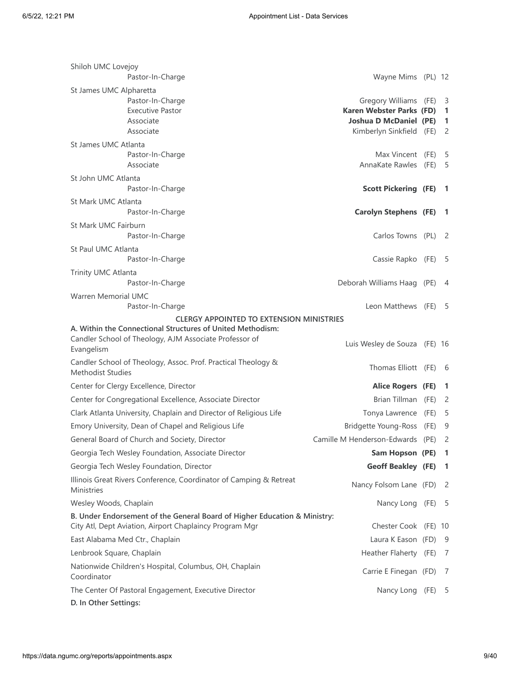| Shiloh UMC Lovejoy<br>Pastor-In-Charge                                                                                               | Wayne Mims (PL) 12                                                                                             |      |                                 |
|--------------------------------------------------------------------------------------------------------------------------------------|----------------------------------------------------------------------------------------------------------------|------|---------------------------------|
| St James UMC Alpharetta                                                                                                              |                                                                                                                |      |                                 |
| Pastor-In-Charge<br><b>Executive Pastor</b><br>Associate<br>Associate                                                                | Gregory Williams (FE)<br>Karen Webster Parks (FD)<br><b>Joshua D McDaniel (PE)</b><br>Kimberlyn Sinkfield (FE) |      | - 3<br>1<br>1<br>$\overline{2}$ |
| St James UMC Atlanta                                                                                                                 |                                                                                                                |      |                                 |
| Pastor-In-Charge<br>Associate                                                                                                        | Max Vincent (FE)<br>AnnaKate Rawles                                                                            | (FE) | - 5<br>5                        |
| St John UMC Atlanta<br>Pastor-In-Charge                                                                                              | <b>Scott Pickering (FE)</b>                                                                                    |      | -1                              |
| St Mark UMC Atlanta                                                                                                                  |                                                                                                                |      |                                 |
| Pastor-In-Charge                                                                                                                     | <b>Carolyn Stephens (FE)</b>                                                                                   |      | - 1                             |
| St Mark UMC Fairburn<br>Pastor-In-Charge                                                                                             | Carlos Towns (PL)                                                                                              |      | - 2                             |
| St Paul UMC Atlanta                                                                                                                  |                                                                                                                |      |                                 |
| Pastor-In-Charge                                                                                                                     | Cassie Rapko (FE)                                                                                              |      | - 5                             |
| Trinity UMC Atlanta                                                                                                                  |                                                                                                                |      |                                 |
| Pastor-In-Charge                                                                                                                     | Deborah Williams Haag (PE)                                                                                     |      | 4                               |
| <b>Warren Memorial UMC</b><br>Pastor-In-Charge                                                                                       | Leon Matthews (FE)                                                                                             |      | - 5                             |
| <b>CLERGY APPOINTED TO EXTENSION MINISTRIES</b>                                                                                      |                                                                                                                |      |                                 |
| A. Within the Connectional Structures of United Methodism:                                                                           |                                                                                                                |      |                                 |
| Candler School of Theology, AJM Associate Professor of<br>Evangelism                                                                 | Luis Wesley de Souza (FE) 16                                                                                   |      |                                 |
| Candler School of Theology, Assoc. Prof. Practical Theology &<br><b>Methodist Studies</b>                                            | Thomas Elliott (FE)                                                                                            |      | - 6                             |
| Center for Clergy Excellence, Director                                                                                               | Alice Rogers (FE)                                                                                              |      | -1                              |
| Center for Congregational Excellence, Associate Director                                                                             | Brian Tillman (FE)                                                                                             |      | -2                              |
| Clark Atlanta University, Chaplain and Director of Religious Life                                                                    | Tonya Lawrence                                                                                                 | (FE) | -5                              |
| Emory University, Dean of Chapel and Religious Life                                                                                  | <b>Bridgette Young-Ross</b>                                                                                    | (FE) | 9                               |
| General Board of Church and Society, Director                                                                                        | Camille M Henderson-Edwards (PE)                                                                               |      | $\overline{2}$                  |
| Georgia Tech Wesley Foundation, Associate Director                                                                                   | Sam Hopson (PE)                                                                                                |      | $\mathbf{1}$                    |
| Georgia Tech Wesley Foundation, Director                                                                                             | <b>Geoff Beakley (FE)</b>                                                                                      |      | -1                              |
| Illinois Great Rivers Conference, Coordinator of Camping & Retreat<br><b>Ministries</b>                                              | Nancy Folsom Lane (FD)                                                                                         |      | -2                              |
| Wesley Woods, Chaplain                                                                                                               | Nancy Long (FE)                                                                                                |      | - 5                             |
| B. Under Endorsement of the General Board of Higher Education & Ministry:<br>City Atl, Dept Aviation, Airport Chaplaincy Program Mgr | Chester Cook (FE) 10                                                                                           |      |                                 |
| East Alabama Med Ctr., Chaplain                                                                                                      | Laura K Eason (FD)                                                                                             |      | - 9                             |
| Lenbrook Square, Chaplain                                                                                                            | Heather Flaherty (FE)                                                                                          |      | - 7                             |
| Nationwide Children's Hospital, Columbus, OH, Chaplain<br>Coordinator                                                                | Carrie E Finegan (FD)                                                                                          |      | 7                               |
| The Center Of Pastoral Engagement, Executive Director                                                                                | Nancy Long                                                                                                     | (FE) | 5                               |
| D. In Other Settings:                                                                                                                |                                                                                                                |      |                                 |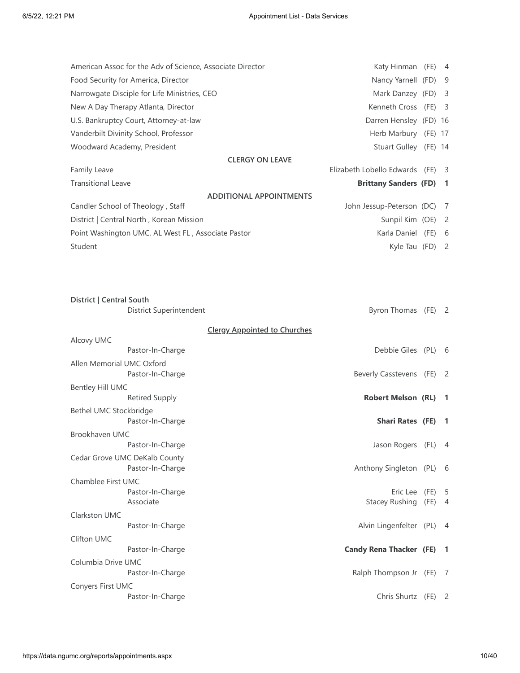| American Assoc for the Adv of Science, Associate Director | Katy Hinman (FE)               | -4 |
|-----------------------------------------------------------|--------------------------------|----|
| Food Security for America, Director                       | Nancy Yarnell (FD)             | -9 |
| Narrowgate Disciple for Life Ministries, CEO              | Mark Danzey (FD)               | 3  |
| New A Day Therapy Atlanta, Director                       | Kenneth Cross (FE)             | -3 |
| U.S. Bankruptcy Court, Attorney-at-law                    | Darren Hensley (FD) 16         |    |
| Vanderbilt Divinity School, Professor                     | Herb Marbury (FE) 17           |    |
| Woodward Academy, President                               | Stuart Gulley (FE) 14          |    |
| <b>CLERGY ON LEAVE</b>                                    |                                |    |
| <b>Family Leave</b>                                       | Elizabeth Lobello Edwards (FE) | -3 |
| <b>Transitional Leave</b>                                 | <b>Brittany Sanders (FD) 1</b> |    |
| <b>ADDITIONAL APPOINTMENTS</b>                            |                                |    |
| Candler School of Theology, Staff                         | John Jessup-Peterson (DC)      | -7 |
| District   Central North, Korean Mission                  | Sunpil Kim (OE)                | -2 |
| Point Washington UMC, AL West FL, Associate Pastor        | Karla Daniel (FE)              | 6  |
| Student                                                   | Kyle Tau $(FD)$ 2              |    |

| District   Central South  | <b>District Superintendent</b>                    | <b>Byron Thomas</b>                 | (FE)         | $\overline{\phantom{0}}^2$ |
|---------------------------|---------------------------------------------------|-------------------------------------|--------------|----------------------------|
|                           |                                                   | <b>Clergy Appointed to Churches</b> |              |                            |
| Alcovy UMC                |                                                   |                                     |              |                            |
|                           | Pastor-In-Charge                                  | Debbie Giles (PL)                   |              | - 6                        |
| Allen Memorial UMC Oxford | Pastor-In-Charge                                  | Beverly Casstevens (FE)             |              | - 2                        |
| Bentley Hill UMC          |                                                   |                                     |              |                            |
|                           | <b>Retired Supply</b>                             | <b>Robert Melson (RL)</b>           |              | -1                         |
| Bethel UMC Stockbridge    | Pastor-In-Charge                                  | <b>Shari Rates (FE)</b>             |              | $\blacksquare$             |
| Brookhaven UMC            |                                                   |                                     |              |                            |
|                           | Pastor-In-Charge                                  | Jason Rogers (FL)                   |              | - 4                        |
|                           | Cedar Grove UMC DeKalb County<br>Pastor-In-Charge | Anthony Singleton                   | (PL)         | -6                         |
| Chamblee First UMC        |                                                   |                                     |              |                            |
|                           | Pastor-In-Charge<br>Associate                     | Eric Lee<br><b>Stacey Rushing</b>   | (FE)<br>(FE) | -5<br>$\overline{4}$       |
| Clarkston UMC             |                                                   |                                     |              |                            |
|                           | Pastor-In-Charge                                  | Alvin Lingenfelter (PL)             |              | - 4                        |
| Clifton UMC               |                                                   |                                     |              |                            |
|                           | Pastor-In-Charge                                  | <b>Candy Rena Thacker (FE)</b>      |              | - 1                        |
| Columbia Drive UMC        | Pastor-In-Charge                                  | Ralph Thompson Jr (FE)              |              | -7                         |
| Conyers First UMC         |                                                   |                                     |              |                            |
|                           | Pastor-In-Charge                                  | Chris Shurtz (FE)                   |              | $\overline{2}$             |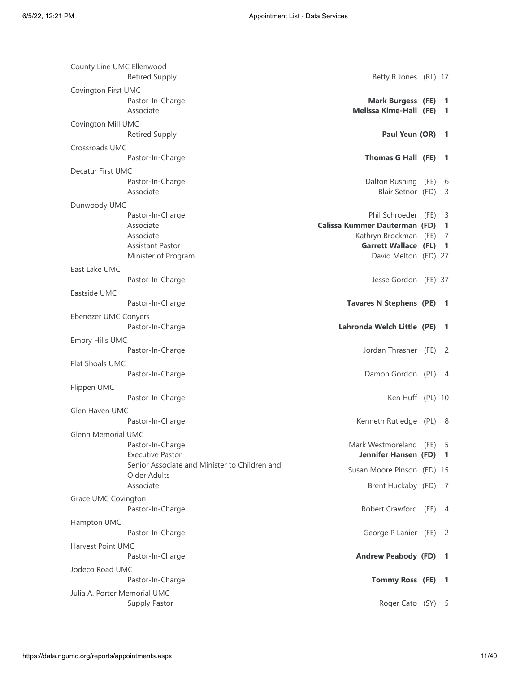| County Line UMC Ellenwood    |                                               |                                      |                          |
|------------------------------|-----------------------------------------------|--------------------------------------|--------------------------|
|                              | <b>Retired Supply</b>                         | Betty R Jones (RL) 17                |                          |
| Covington First UMC          |                                               |                                      |                          |
|                              | Pastor-In-Charge                              | <b>Mark Burgess (FE)</b>             | -1                       |
|                              | Associate                                     | <b>Melissa Kime-Hall (FE)</b>        | -1                       |
| Covington Mill UMC           |                                               |                                      |                          |
|                              | <b>Retired Supply</b>                         | Paul Yeun (OR)                       | -1                       |
| Crossroads UMC               |                                               |                                      |                          |
|                              | Pastor-In-Charge                              | Thomas G Hall (FE)                   | -1                       |
|                              |                                               |                                      |                          |
| Decatur First UMC            |                                               |                                      |                          |
|                              | Pastor-In-Charge<br>Associate                 | Dalton Rushing (FE)                  | 6                        |
|                              |                                               | Blair Setnor (FD)                    | 3                        |
| Dunwoody UMC                 |                                               |                                      |                          |
|                              | Pastor-In-Charge                              | Phil Schroeder (FE)                  | 3                        |
|                              | Associate                                     | <b>Calissa Kummer Dauterman (FD)</b> | 1                        |
|                              | Associate                                     | Kathryn Brockman (FE)                | -7                       |
|                              | <b>Assistant Pastor</b>                       | <b>Garrett Wallace (FL)</b>          | $\mathbf{1}$             |
|                              | Minister of Program                           | David Melton (FD) 27                 |                          |
| East Lake UMC                |                                               |                                      |                          |
|                              | Pastor-In-Charge                              | Jesse Gordon (FE) 37                 |                          |
| Eastside UMC                 |                                               |                                      |                          |
|                              | Pastor-In-Charge                              | <b>Tavares N Stephens (PE)</b>       | - 1                      |
| Ebenezer UMC Conyers         |                                               |                                      |                          |
|                              | Pastor-In-Charge                              | Lahronda Welch Little (PE)           | -1                       |
| Embry Hills UMC              |                                               |                                      |                          |
|                              | Pastor-In-Charge                              | Jordan Thrasher (FE)                 | -2                       |
|                              |                                               |                                      |                          |
| Flat Shoals UMC              |                                               |                                      |                          |
|                              | Pastor-In-Charge                              | Damon Gordon (PL) 4                  |                          |
| Flippen UMC                  |                                               |                                      |                          |
|                              | Pastor-In-Charge                              | Ken Huff (PL) 10                     |                          |
| Glen Haven UMC               |                                               |                                      |                          |
|                              | Pastor-In-Charge                              | Kenneth Rutledge (PL) 8              |                          |
| Glenn Memorial UMC           |                                               |                                      |                          |
|                              | Pastor-In-Charge                              | Mark Westmoreland (FE)               | - 5                      |
|                              | <b>Executive Pastor</b>                       | Jennifer Hansen (FD)                 | -1                       |
|                              | Senior Associate and Minister to Children and | Susan Moore Pinson (FD) 15           |                          |
|                              | Older Adults                                  |                                      |                          |
|                              | Associate                                     | Brent Huckaby (FD) 7                 |                          |
| Grace UMC Covington          |                                               |                                      |                          |
|                              | Pastor-In-Charge                              | Robert Crawford (FE)                 | -4                       |
| Hampton UMC                  |                                               |                                      |                          |
|                              | Pastor-In-Charge                              | George P Lanier (FE) 2               |                          |
|                              |                                               |                                      |                          |
| Harvest Point UMC            |                                               |                                      |                          |
|                              | Pastor-In-Charge                              | <b>Andrew Peabody (FD)</b>           | $\overline{\phantom{a}}$ |
| Jodeco Road UMC              |                                               |                                      |                          |
|                              | Pastor-In-Charge                              | Tommy Ross (FE)                      | $\mathbf{1}$             |
| Julia A. Porter Memorial UMC |                                               |                                      |                          |
|                              | Supply Pastor                                 | Roger Cato (SY) 5                    |                          |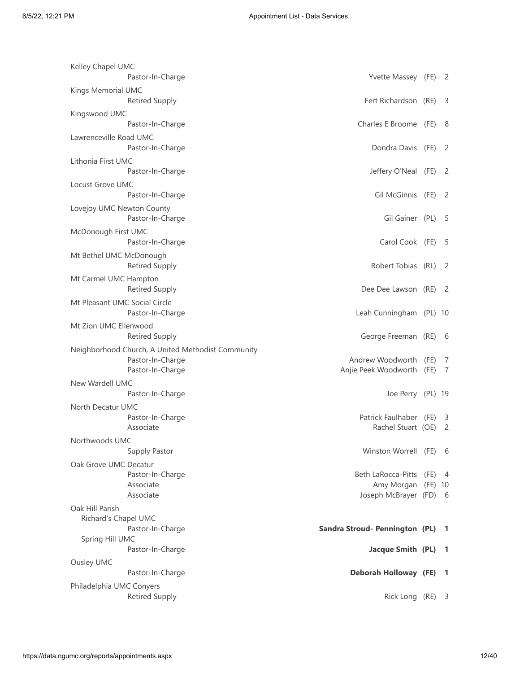| Kelley Chapel UMC                                 |                                              |      |                         |
|---------------------------------------------------|----------------------------------------------|------|-------------------------|
| Pastor-In-Charge                                  | Yvette Massey (FE) 2                         |      |                         |
| Kings Memorial UMC<br><b>Retired Supply</b>       | Fert Richardson (RE)                         |      | - 3                     |
| Kingswood UMC                                     |                                              |      |                         |
| Pastor-In-Charge                                  | Charles E Broome (FE)                        |      | - 8                     |
| Lawrenceville Road UMC                            |                                              |      |                         |
| Pastor-In-Charge                                  | Dondra Davis (FE)                            |      | -2                      |
| Lithonia First UMC                                |                                              |      |                         |
| Pastor-In-Charge                                  | Jeffery O'Neal (FE)                          |      | - 2                     |
| Locust Grove UMC                                  |                                              |      |                         |
| Pastor-In-Charge                                  | Gil McGinnis (FE)                            |      | -2                      |
| Lovejoy UMC Newton County                         |                                              |      |                         |
| Pastor-In-Charge                                  | Gil Gainer (PL)                              |      | - 5                     |
| McDonough First UMC                               |                                              |      |                         |
| Pastor-In-Charge                                  | Carol Cook (FE)                              |      | - 5                     |
| Mt Bethel UMC McDonough                           |                                              |      |                         |
| <b>Retired Supply</b>                             | Robert Tobias (RL)                           |      | - 2                     |
| Mt Carmel UMC Hampton                             |                                              |      |                         |
| <b>Retired Supply</b>                             | Dee Dee Lawson (RE)                          |      | - 2                     |
| Mt Pleasant UMC Social Circle                     |                                              |      |                         |
| Pastor-In-Charge                                  | Leah Cunningham (PL) 10                      |      |                         |
| Mt Zion UMC Ellenwood                             |                                              |      |                         |
| <b>Retired Supply</b>                             | George Freeman (RE) 6                        |      |                         |
| Neighborhood Church, A United Methodist Community |                                              |      |                         |
| Pastor-In-Charge                                  | Andrew Woodworth                             | (FE) | 7                       |
| Pastor-In-Charge                                  | Anjie Peek Woodworth                         | (FE) | 7                       |
| New Wardell UMC                                   |                                              |      |                         |
| Pastor-In-Charge                                  | Joe Perry (PL) 19                            |      |                         |
| North Decatur UMC                                 |                                              |      |                         |
| Pastor-In-Charge                                  | Patrick Faulhaber (FE)                       |      | -3                      |
| Associate                                         | Rachel Stuart (OE)                           |      | $\overline{2}$          |
| Northwoods UMC                                    |                                              |      |                         |
| Supply Pastor                                     | Winston Worrell (FE) 6                       |      |                         |
| Oak Grove UMC Decatur                             |                                              |      |                         |
| Pastor-In-Charge<br>Associate                     | Beth LaRocca-Pitts (FE) 4                    |      |                         |
| Associate                                         | Amy Morgan (FE) 10<br>Joseph McBrayer (FD) 6 |      |                         |
| Oak Hill Parish                                   |                                              |      |                         |
| Richard's Chapel UMC                              |                                              |      |                         |
| Pastor-In-Charge                                  | Sandra Stroud- Pennington (PL)               |      | $\mathbf{1}$            |
| Spring Hill UMC                                   |                                              |      |                         |
| Pastor-In-Charge                                  | Jacque Smith (PL)                            |      | -1                      |
| Ousley UMC                                        |                                              |      |                         |
| Pastor-In-Charge                                  | <b>Deborah Holloway (FE)</b>                 |      | $\overline{1}$          |
| Philadelphia UMC Conyers                          |                                              |      |                         |
| <b>Retired Supply</b>                             | Rick Long (RE)                               |      | $\overline{\mathbf{3}}$ |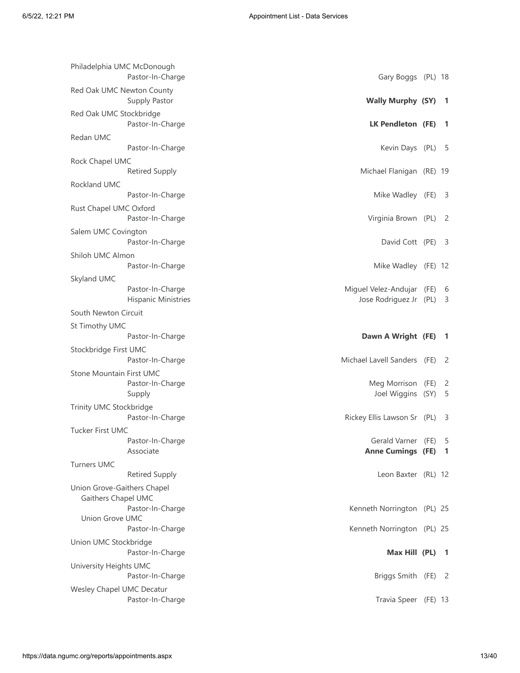| Philadelphia UMC McDonough<br>Pastor-In-Charge | Gary Boggs (PL) 18                                    |      |                          |
|------------------------------------------------|-------------------------------------------------------|------|--------------------------|
| Red Oak UMC Newton County<br>Supply Pastor     | <b>Wally Murphy (SY) 1</b>                            |      |                          |
| Red Oak UMC Stockbridge<br>Pastor-In-Charge    | LK Pendleton (FE)                                     |      | -1                       |
| Redan UMC<br>Pastor-In-Charge                  | Kevin Days (PL) 5                                     |      |                          |
|                                                |                                                       |      |                          |
| Rock Chapel UMC<br><b>Retired Supply</b>       | Michael Flanigan (RE) 19                              |      |                          |
| Rockland UMC                                   |                                                       |      |                          |
| Pastor-In-Charge                               | Mike Wadley (FE)                                      |      | $\overline{\mathbf{3}}$  |
| Rust Chapel UMC Oxford<br>Pastor-In-Charge     | Virginia Brown (PL)                                   |      | - 2                      |
| Salem UMC Covington<br>Pastor-In-Charge        | David Cott (PE)                                       |      | - 3                      |
| Shiloh UMC Almon                               |                                                       |      |                          |
| Pastor-In-Charge                               | Mike Wadley (FE) 12                                   |      |                          |
| Skyland UMC                                    |                                                       |      |                          |
| Pastor-In-Charge<br><b>Hispanic Ministries</b> | Miguel Velez-Andujar (FE) 6<br>Jose Rodriguez Jr (PL) |      | - 3                      |
| South Newton Circuit                           |                                                       |      |                          |
| St Timothy UMC                                 |                                                       |      |                          |
| Pastor-In-Charge                               | Dawn A Wright (FE)                                    |      | $\overline{\phantom{0}}$ |
| Stockbridge First UMC                          |                                                       |      |                          |
| Pastor-In-Charge                               | Michael Lavell Sanders (FE)                           |      | - 2                      |
| Stone Mountain First UMC                       |                                                       |      |                          |
| Pastor-In-Charge                               | Meg Morrison                                          | (FE) | $\overline{c}$           |
| Supply                                         | Joel Wiggins (SY)                                     |      | 5                        |
| Trinity UMC Stockbridge                        |                                                       |      |                          |
| Pastor-In-Charge                               | Rickey Ellis Lawson Sr (PL)                           |      | - 3                      |
| <b>Tucker First UMC</b>                        |                                                       |      |                          |
| Pastor-In-Charge<br>Associate                  | Gerald Varner (FE) 5<br><b>Anne Cumings (FE) 1</b>    |      |                          |
| <b>Turners UMC</b>                             |                                                       |      |                          |
| <b>Retired Supply</b>                          | Leon Baxter (RL) 12                                   |      |                          |
| Union Grove-Gaithers Chapel                    |                                                       |      |                          |
| Gaithers Chapel UMC                            |                                                       |      |                          |
| Pastor-In-Charge                               | Kenneth Norrington (PL) 25                            |      |                          |
| Union Grove UMC                                |                                                       |      |                          |
| Pastor-In-Charge                               | Kenneth Norrington (PL) 25                            |      |                          |
| Union UMC Stockbridge<br>Pastor-In-Charge      | Max Hill (PL) 1                                       |      |                          |
| University Heights UMC                         |                                                       |      |                          |
| Pastor-In-Charge                               | Briggs Smith (FE) 2                                   |      |                          |
| Wesley Chapel UMC Decatur                      |                                                       |      |                          |
| Pastor-In-Charge                               | Travia Speer (FE) 13                                  |      |                          |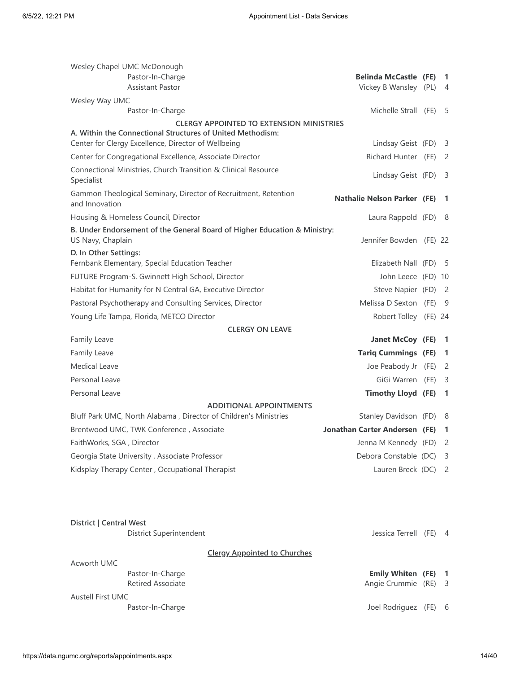| Wesley Chapel UMC McDonough                                                                                   |                                    |                            |
|---------------------------------------------------------------------------------------------------------------|------------------------------------|----------------------------|
| Pastor-In-Charge                                                                                              | <b>Belinda McCastle (FE)</b>       | 1                          |
| <b>Assistant Pastor</b>                                                                                       | Vickey B Wansley (PL)              | $\overline{4}$             |
| Wesley Way UMC                                                                                                |                                    |                            |
| Pastor-In-Charge                                                                                              | Michelle Strall (FE)               | -5                         |
| <b>CLERGY APPOINTED TO EXTENSION MINISTRIES</b><br>A. Within the Connectional Structures of United Methodism: |                                    |                            |
| Center for Clergy Excellence, Director of Wellbeing                                                           | Lindsay Geist (FD)                 | 3                          |
| Center for Congregational Excellence, Associate Director                                                      | Richard Hunter (FE)                | - 2                        |
| Connectional Ministries, Church Transition & Clinical Resource<br>Specialist                                  | Lindsay Geist (FD)                 | - 3                        |
| Gammon Theological Seminary, Director of Recruitment, Retention<br>and Innovation                             | <b>Nathalie Nelson Parker (FE)</b> | -1                         |
| Housing & Homeless Council, Director                                                                          | Laura Rappold (FD)                 | - 8                        |
| B. Under Endorsement of the General Board of Higher Education & Ministry:                                     |                                    |                            |
| US Navy, Chaplain                                                                                             | Jennifer Bowden (FE) 22            |                            |
| D. In Other Settings:                                                                                         |                                    |                            |
| Fernbank Elementary, Special Education Teacher                                                                | Elizabeth Nall (FD)                | - 5                        |
| FUTURE Program-S. Gwinnett High School, Director                                                              | John Leece (FD) 10                 |                            |
| Habitat for Humanity for N Central GA, Executive Director                                                     | Steve Napier (FD)                  | $\overline{\phantom{0}}^2$ |
| Pastoral Psychotherapy and Consulting Services, Director                                                      | Melissa D Sexton (FE)              | - 9                        |
| Young Life Tampa, Florida, METCO Director                                                                     | Robert Tolley (FE) 24              |                            |
| <b>CLERGY ON LEAVE</b><br>Family Leave                                                                        | Janet McCoy (FE)                   | $\mathbf{1}$               |
| Family Leave                                                                                                  | <b>Tariq Cummings (FE)</b>         | 1                          |
| <b>Medical Leave</b>                                                                                          |                                    |                            |
|                                                                                                               | Joe Peabody Jr (FE)                | 2                          |
| Personal Leave                                                                                                | GiGi Warren (FE)                   | - 3                        |
| Personal Leave                                                                                                | <b>Timothy Lloyd (FE)</b>          | $\mathbf{1}$               |
| <b>ADDITIONAL APPOINTMENTS</b><br>Bluff Park UMC, North Alabama, Director of Children's Ministries            | Stanley Davidson (FD)              | 8                          |
| Brentwood UMC, TWK Conference, Associate                                                                      | Jonathan Carter Andersen (FE)      | -1                         |
| FaithWorks, SGA, Director                                                                                     | Jenna M Kennedy (FD)               | 2                          |
| Georgia State University, Associate Professor                                                                 | Debora Constable (DC)              | 3                          |
| Kidsplay Therapy Center, Occupational Therapist                                                               | Lauren Breck (DC)                  | $\overline{2}$             |
|                                                                                                               |                                    |                            |
|                                                                                                               |                                    |                            |

| District   Central West  |                                     |                            |     |
|--------------------------|-------------------------------------|----------------------------|-----|
|                          | District Superintendent             | Jessica Terrell (FE) 4     |     |
|                          | <b>Clergy Appointed to Churches</b> |                            |     |
| Acworth UMC              |                                     |                            |     |
|                          | Pastor-In-Charge                    | <b>Emily Whiten (FE) 1</b> |     |
|                          | <b>Retired Associate</b>            | Angie Crummie (RE) 3       |     |
| <b>Austell First UMC</b> |                                     |                            |     |
|                          | Pastor-In-Charge                    | Joel Rodriguez (FE)        | - 6 |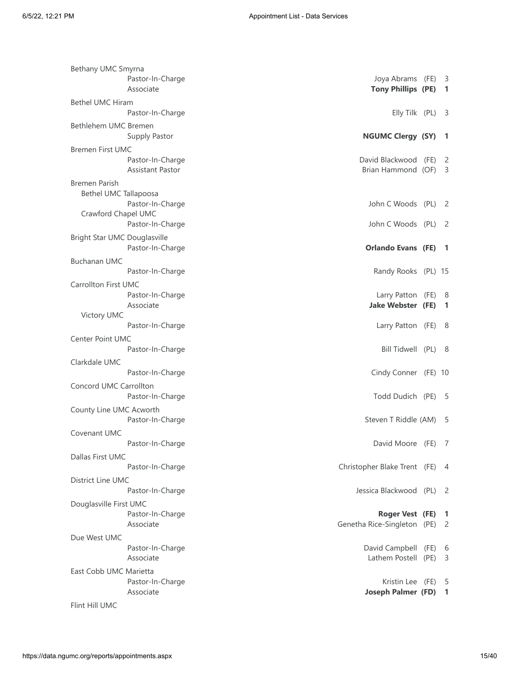| Bethany UMC Smyrna           |                               |                                                 |                          |
|------------------------------|-------------------------------|-------------------------------------------------|--------------------------|
|                              | Pastor-In-Charge<br>Associate | Joya Abrams (FE) 3<br><b>Tony Phillips (PE)</b> | $\overline{1}$           |
| <b>Bethel UMC Hiram</b>      |                               |                                                 |                          |
|                              | Pastor-In-Charge              | Elly Tilk (PL)                                  | - 3                      |
| Bethlehem UMC Bremen         |                               |                                                 |                          |
|                              | Supply Pastor                 | <b>NGUMC Clergy (SY)</b>                        | $\mathbf{1}$             |
| <b>Bremen First UMC</b>      |                               |                                                 |                          |
|                              | Pastor-In-Charge              | David Blackwood (FE)                            | -2                       |
|                              | Assistant Pastor              | Brian Hammond (OF)                              | - 3                      |
| <b>Bremen Parish</b>         |                               |                                                 |                          |
| Bethel UMC Tallapoosa        |                               |                                                 |                          |
|                              | Pastor-In-Charge              | John C Woods (PL) 2                             |                          |
| Crawford Chapel UMC          |                               |                                                 |                          |
|                              | Pastor-In-Charge              | John C Woods (PL) 2                             |                          |
| Bright Star UMC Douglasville |                               |                                                 |                          |
|                              | Pastor-In-Charge              | <b>Orlando Evans (FE)</b>                       | $\overline{\phantom{0}}$ |
| <b>Buchanan UMC</b>          |                               |                                                 |                          |
|                              | Pastor-In-Charge              | Randy Rooks (PL) 15                             |                          |
| <b>Carrollton First UMC</b>  |                               |                                                 |                          |
|                              | Pastor-In-Charge              | Larry Patton (FE) 8                             |                          |
|                              | Associate                     | <b>Jake Webster (FE)</b>                        | 1                        |
| Victory UMC                  |                               |                                                 |                          |
|                              | Pastor-In-Charge              | Larry Patton (FE) 8                             |                          |
| <b>Center Point UMC</b>      |                               |                                                 |                          |
|                              | Pastor-In-Charge              | Bill Tidwell (PL) 8                             |                          |
| Clarkdale UMC                |                               |                                                 |                          |
|                              | Pastor-In-Charge              | Cindy Conner (FE) 10                            |                          |
| Concord UMC Carrollton       |                               |                                                 |                          |
|                              | Pastor-In-Charge              | Todd Dudich (PE) 5                              |                          |
| County Line UMC Acworth      |                               |                                                 |                          |
|                              | Pastor-In-Charge              | Steven T Riddle (AM)                            | - 5                      |
| Covenant UMC                 |                               |                                                 |                          |
|                              | Pastor-In-Charge              | David Moore (FE) 7                              |                          |
| Dallas First UMC             |                               |                                                 |                          |
|                              | Pastor-In-Charge              | Christopher Blake Trent (FE) 4                  |                          |
| <b>District Line UMC</b>     |                               |                                                 |                          |
|                              | Pastor-In-Charge              | Jessica Blackwood (PL) 2                        |                          |
| Douglasville First UMC       |                               |                                                 |                          |
|                              | Pastor-In-Charge              | Roger Vest (FE) 1                               |                          |
|                              | Associate                     | Genetha Rice-Singleton (PE)                     | 2                        |
| Due West UMC                 |                               |                                                 |                          |
|                              | Pastor-In-Charge              | David Campbell (FE) 6                           |                          |
|                              | Associate                     | Lathem Postell (PE)                             | -3                       |
| East Cobb UMC Marietta       |                               |                                                 |                          |
|                              | Pastor-In-Charge              | Kristin Lee (FE)                                | - 5                      |
|                              | Associate                     | <b>Joseph Palmer (FD)</b>                       | $\blacksquare$           |
| Flint Hill UMC               |                               |                                                 |                          |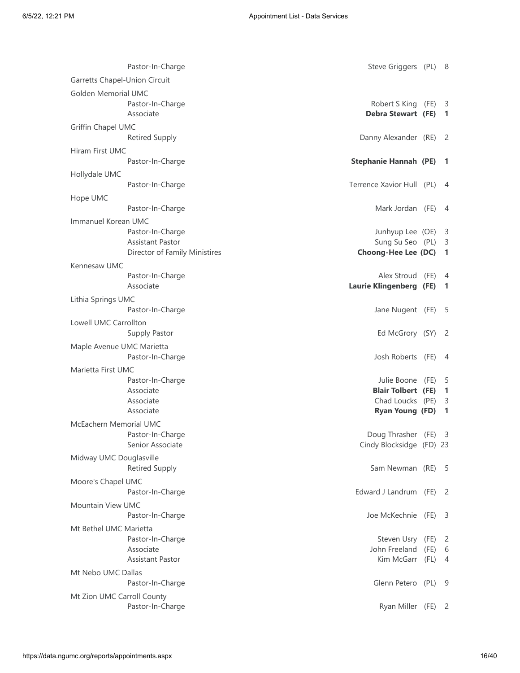| Pastor-In-Charge                                                                                    | Steve Griggers (PL) 8                                                                       |              |                                                                  |
|-----------------------------------------------------------------------------------------------------|---------------------------------------------------------------------------------------------|--------------|------------------------------------------------------------------|
| Garretts Chapel-Union Circuit                                                                       |                                                                                             |              |                                                                  |
| <b>Golden Memorial UMC</b><br>Pastor-In-Charge<br>Associate                                         | Robert S King<br>Debra Stewart (FE)                                                         | (FE)         | - 3<br>$\mathbf{1}$                                              |
| Griffin Chapel UMC<br><b>Retired Supply</b>                                                         | Danny Alexander (RE) 2                                                                      |              |                                                                  |
| Hiram First UMC<br>Pastor-In-Charge                                                                 | Stephanie Hannah (PE) 1                                                                     |              |                                                                  |
| Hollydale UMC<br>Pastor-In-Charge                                                                   | Terrence Xavior Hull (PL)                                                                   |              | -4                                                               |
| Hope UMC<br>Pastor-In-Charge                                                                        | Mark Jordan (FE) 4                                                                          |              |                                                                  |
| Immanuel Korean UMC<br>Pastor-In-Charge<br><b>Assistant Pastor</b><br>Director of Family Ministires | Junhyup Lee (OE) 3<br>Sung Su Seo (PL) 3<br>Choong-Hee Lee (DC)                             |              | -1                                                               |
| Kennesaw UMC<br>Pastor-In-Charge<br>Associate                                                       | Alex Stroud<br>Laurie Klingenberg (FE)                                                      | (FE)         | 4<br>$\mathbf{1}$                                                |
| Lithia Springs UMC<br>Pastor-In-Charge                                                              | Jane Nugent (FE) 5                                                                          |              |                                                                  |
| Lowell UMC Carrollton<br>Supply Pastor                                                              | Ed McGrory (SY) 2                                                                           |              |                                                                  |
| Maple Avenue UMC Marietta<br>Pastor-In-Charge                                                       | Josh Roberts (FE)                                                                           |              | $\overline{4}$                                                   |
| Marietta First UMC<br>Pastor-In-Charge<br>Associate<br>Associate<br>Associate                       | Julie Boone (FE)<br><b>Blair Tolbert (FE)</b><br>Chad Loucks (PE)<br><b>Ryan Young (FD)</b> |              | - 5<br>$\blacksquare$<br>$\overline{\mathbf{3}}$<br>$\mathbf{1}$ |
| McEachern Memorial UMC<br>Pastor-In-Charge<br>Senior Associate                                      | Doug Thrasher (FE)<br>Cindy Blocksidge (FD) 23                                              |              | - 3                                                              |
| Midway UMC Douglasville<br><b>Retired Supply</b>                                                    | Sam Newman (RE) 5                                                                           |              |                                                                  |
| Moore's Chapel UMC<br>Pastor-In-Charge                                                              | Edward J Landrum (FE)                                                                       |              | - 2                                                              |
| <b>Mountain View UMC</b><br>Pastor-In-Charge                                                        | Joe McKechnie (FE)                                                                          |              | $\overline{\mathbf{3}}$                                          |
| Mt Bethel UMC Marietta<br>Pastor-In-Charge<br>Associate<br>Assistant Pastor                         | Steven Usry (FE)<br>John Freeland<br>Kim McGarr                                             | (FE)<br>(FL) | $\overline{2}$<br>6<br>4                                         |
| Mt Nebo UMC Dallas<br>Pastor-In-Charge                                                              | Glenn Petero (PL)                                                                           |              | - 9                                                              |
| Mt Zion UMC Carroll County<br>Pastor-In-Charge                                                      | Ryan Miller (FE) 2                                                                          |              |                                                                  |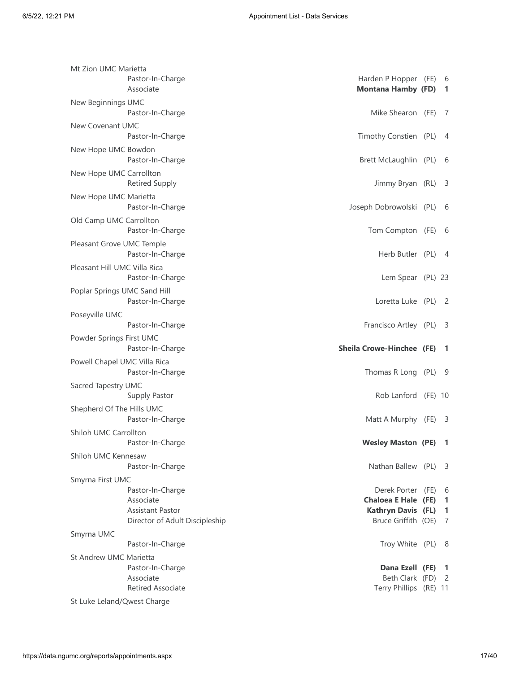| Pastor-In-Charge<br>Associate                                                              |                                                                                                                                                                                                                                                                                                                                                                                                                                                                                                                | 6<br>$\overline{1}$                                                                                                                                                                                                                                                                                                                                                                                                                                                                                                                                                                                                |
|--------------------------------------------------------------------------------------------|----------------------------------------------------------------------------------------------------------------------------------------------------------------------------------------------------------------------------------------------------------------------------------------------------------------------------------------------------------------------------------------------------------------------------------------------------------------------------------------------------------------|--------------------------------------------------------------------------------------------------------------------------------------------------------------------------------------------------------------------------------------------------------------------------------------------------------------------------------------------------------------------------------------------------------------------------------------------------------------------------------------------------------------------------------------------------------------------------------------------------------------------|
| Pastor-In-Charge                                                                           |                                                                                                                                                                                                                                                                                                                                                                                                                                                                                                                | - 7                                                                                                                                                                                                                                                                                                                                                                                                                                                                                                                                                                                                                |
| Pastor-In-Charge                                                                           |                                                                                                                                                                                                                                                                                                                                                                                                                                                                                                                | -4                                                                                                                                                                                                                                                                                                                                                                                                                                                                                                                                                                                                                 |
| Pastor-In-Charge                                                                           |                                                                                                                                                                                                                                                                                                                                                                                                                                                                                                                | -6                                                                                                                                                                                                                                                                                                                                                                                                                                                                                                                                                                                                                 |
| <b>Retired Supply</b>                                                                      |                                                                                                                                                                                                                                                                                                                                                                                                                                                                                                                | - 3                                                                                                                                                                                                                                                                                                                                                                                                                                                                                                                                                                                                                |
| Pastor-In-Charge                                                                           |                                                                                                                                                                                                                                                                                                                                                                                                                                                                                                                | 6                                                                                                                                                                                                                                                                                                                                                                                                                                                                                                                                                                                                                  |
| Pastor-In-Charge                                                                           |                                                                                                                                                                                                                                                                                                                                                                                                                                                                                                                | - 6                                                                                                                                                                                                                                                                                                                                                                                                                                                                                                                                                                                                                |
| Pastor-In-Charge                                                                           |                                                                                                                                                                                                                                                                                                                                                                                                                                                                                                                | - 4                                                                                                                                                                                                                                                                                                                                                                                                                                                                                                                                                                                                                |
| Pastor-In-Charge                                                                           |                                                                                                                                                                                                                                                                                                                                                                                                                                                                                                                |                                                                                                                                                                                                                                                                                                                                                                                                                                                                                                                                                                                                                    |
| Pastor-In-Charge                                                                           |                                                                                                                                                                                                                                                                                                                                                                                                                                                                                                                | - 2                                                                                                                                                                                                                                                                                                                                                                                                                                                                                                                                                                                                                |
|                                                                                            |                                                                                                                                                                                                                                                                                                                                                                                                                                                                                                                |                                                                                                                                                                                                                                                                                                                                                                                                                                                                                                                                                                                                                    |
| Pastor-In-Charge                                                                           |                                                                                                                                                                                                                                                                                                                                                                                                                                                                                                                | - 3                                                                                                                                                                                                                                                                                                                                                                                                                                                                                                                                                                                                                |
|                                                                                            |                                                                                                                                                                                                                                                                                                                                                                                                                                                                                                                |                                                                                                                                                                                                                                                                                                                                                                                                                                                                                                                                                                                                                    |
| Pastor-In-Charge                                                                           |                                                                                                                                                                                                                                                                                                                                                                                                                                                                                                                | -1                                                                                                                                                                                                                                                                                                                                                                                                                                                                                                                                                                                                                 |
| Pastor-In-Charge                                                                           |                                                                                                                                                                                                                                                                                                                                                                                                                                                                                                                | - 9                                                                                                                                                                                                                                                                                                                                                                                                                                                                                                                                                                                                                |
| Supply Pastor                                                                              |                                                                                                                                                                                                                                                                                                                                                                                                                                                                                                                |                                                                                                                                                                                                                                                                                                                                                                                                                                                                                                                                                                                                                    |
| Pastor-In-Charge                                                                           |                                                                                                                                                                                                                                                                                                                                                                                                                                                                                                                | - 3                                                                                                                                                                                                                                                                                                                                                                                                                                                                                                                                                                                                                |
| Pastor-In-Charge                                                                           |                                                                                                                                                                                                                                                                                                                                                                                                                                                                                                                | Л.                                                                                                                                                                                                                                                                                                                                                                                                                                                                                                                                                                                                                 |
| Pastor-In-Charge                                                                           |                                                                                                                                                                                                                                                                                                                                                                                                                                                                                                                |                                                                                                                                                                                                                                                                                                                                                                                                                                                                                                                                                                                                                    |
| Pastor-In-Charge<br>Associate<br><b>Assistant Pastor</b><br>Director of Adult Discipleship |                                                                                                                                                                                                                                                                                                                                                                                                                                                                                                                | 6<br>$\mathbf{1}$<br>$\mathbf{1}$<br>7                                                                                                                                                                                                                                                                                                                                                                                                                                                                                                                                                                             |
|                                                                                            |                                                                                                                                                                                                                                                                                                                                                                                                                                                                                                                |                                                                                                                                                                                                                                                                                                                                                                                                                                                                                                                                                                                                                    |
| Pastor-In-Charge                                                                           |                                                                                                                                                                                                                                                                                                                                                                                                                                                                                                                | - 8                                                                                                                                                                                                                                                                                                                                                                                                                                                                                                                                                                                                                |
| Pastor-In-Charge                                                                           |                                                                                                                                                                                                                                                                                                                                                                                                                                                                                                                |                                                                                                                                                                                                                                                                                                                                                                                                                                                                                                                                                                                                                    |
|                                                                                            | Mt Zion UMC Marietta<br>New Beginnings UMC<br>New Covenant UMC<br>New Hope UMC Bowdon<br>New Hope UMC Carrollton<br>New Hope UMC Marietta<br>Old Camp UMC Carrollton<br>Pleasant Grove UMC Temple<br>Pleasant Hill UMC Villa Rica<br>Poplar Springs UMC Sand Hill<br>Poseyville UMC<br>Powder Springs First UMC<br>Powell Chapel UMC Villa Rica<br>Sacred Tapestry UMC<br>Shepherd Of The Hills UMC<br>Shiloh UMC Carrollton<br>Shiloh UMC Kennesaw<br>Smyrna First UMC<br>St Andrew UMC Marietta<br>Associate | Harden P Hopper (FE)<br><b>Montana Hamby (FD)</b><br>Mike Shearon (FE)<br>Timothy Constien (PL)<br>Brett McLaughlin (PL)<br>Jimmy Bryan (RL)<br>Joseph Dobrowolski (PL)<br>Tom Compton (FE)<br>Herb Butler (PL)<br>Lem Spear (PL) 23<br>Loretta Luke (PL)<br>Francisco Artley (PL)<br><b>Sheila Crowe-Hinchee (FE)</b><br>Thomas R Long (PL)<br>Rob Lanford (FE) 10<br>Matt A Murphy (FE)<br><b>Wesley Maston (PE)</b><br>Nathan Ballew (PL) 3<br>Derek Porter (FE)<br><b>Chaloea E Hale (FE)</b><br><b>Kathryn Davis (FL)</b><br>Bruce Griffith (OE)<br>Troy White (PL)<br>Dana Ezell (FE) 1<br>Beth Clark (FD) 2 |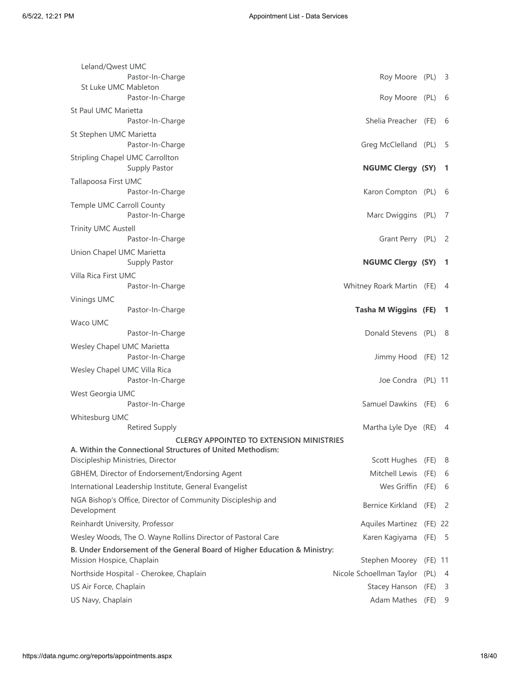| Leland/Qwest UMC                                                                                       |                               |           |     |
|--------------------------------------------------------------------------------------------------------|-------------------------------|-----------|-----|
| Pastor-In-Charge                                                                                       | Roy Moore (PL)                |           | - 3 |
| St Luke UMC Mableton<br>Pastor-In-Charge                                                               | Roy Moore (PL)                |           | -6  |
| St Paul UMC Marietta                                                                                   |                               |           |     |
| Pastor-In-Charge                                                                                       | Shelia Preacher (FE)          |           | 6   |
| St Stephen UMC Marietta<br>Pastor-In-Charge                                                            | Greg McClelland (PL)          |           | -5  |
| Stripling Chapel UMC Carrollton<br>Supply Pastor                                                       | <b>NGUMC Clergy (SY)</b>      |           | -1  |
| Tallapoosa First UMC                                                                                   |                               |           |     |
| Pastor-In-Charge                                                                                       | Karon Compton (PL)            |           | -6  |
| Temple UMC Carroll County<br>Pastor-In-Charge                                                          | Marc Dwiggins (PL)            |           | -7  |
| <b>Trinity UMC Austell</b>                                                                             |                               |           |     |
| Pastor-In-Charge                                                                                       | Grant Perry (PL)              |           | -2  |
| Union Chapel UMC Marietta<br>Supply Pastor                                                             | <b>NGUMC Clergy (SY)</b>      |           | -1  |
| Villa Rica First UMC                                                                                   |                               |           |     |
| Pastor-In-Charge                                                                                       | Whitney Roark Martin (FE)     |           | 4   |
| Vinings UMC                                                                                            |                               |           |     |
| Pastor-In-Charge                                                                                       | <b>Tasha M Wiggins (FE)</b>   |           | -1  |
| Waco UMC                                                                                               |                               |           |     |
| Pastor-In-Charge                                                                                       | Donald Stevens (PL)           |           | - 8 |
| Wesley Chapel UMC Marietta<br>Pastor-In-Charge                                                         | Jimmy Hood (FE) 12            |           |     |
| Wesley Chapel UMC Villa Rica<br>Pastor-In-Charge                                                       | Joe Condra (PL) 11            |           |     |
| West Georgia UMC                                                                                       |                               |           |     |
| Pastor-In-Charge                                                                                       | Samuel Dawkins (FE)           |           | - 6 |
| Whitesburg UMC                                                                                         |                               |           |     |
| <b>Retired Supply</b>                                                                                  | Martha Lyle Dye (RE)          |           | 4   |
| <b>CLERGY APPOINTED TO EXTENSION MINISTRIES</b>                                                        |                               |           |     |
| A. Within the Connectional Structures of United Methodism:                                             |                               |           |     |
| Discipleship Ministries, Director                                                                      | Scott Hughes                  | (FE)      | 8   |
| GBHEM, Director of Endorsement/Endorsing Agent                                                         | Mitchell Lewis                | (FE)      | 6   |
| International Leadership Institute, General Evangelist                                                 | Wes Griffin (FE)              |           | -6  |
| NGA Bishop's Office, Director of Community Discipleship and<br>Development                             | Bernice Kirkland              | (FE)      | -2  |
| Reinhardt University, Professor                                                                        | <b>Aquiles Martinez</b>       | (FE) 22   |     |
| Wesley Woods, The O. Wayne Rollins Director of Pastoral Care                                           | Karen Kagiyama                | (FE)      | - 5 |
| B. Under Endorsement of the General Board of Higher Education & Ministry:<br>Mission Hospice, Chaplain | Stephen Moorey                | $(FE)$ 11 |     |
| Northside Hospital - Cherokee, Chaplain                                                                | Nicole Schoellman Taylor (PL) |           | - 4 |
| US Air Force, Chaplain                                                                                 | Stacey Hanson (FE)            |           | 3   |
| US Navy, Chaplain                                                                                      | Adam Mathes                   | (FE)      | 9   |
|                                                                                                        |                               |           |     |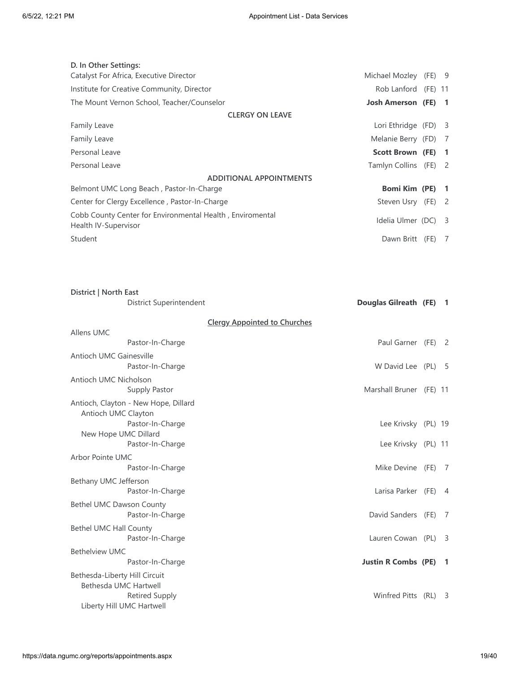| D. In Other Settings:                                                             |                          |      |                          |
|-----------------------------------------------------------------------------------|--------------------------|------|--------------------------|
| Catalyst For Africa, Executive Director                                           | Michael Mozley (FE) 9    |      |                          |
| Institute for Creative Community, Director                                        | Rob Lanford (FE) 11      |      |                          |
| The Mount Vernon School, Teacher/Counselor                                        | <b>Josh Amerson</b> (FE) |      | $\blacksquare$           |
| <b>CLERGY ON LEAVE</b>                                                            |                          |      |                          |
| <b>Family Leave</b>                                                               | Lori Ethridge (FD)       |      | $\overline{\phantom{a}}$ |
| <b>Family Leave</b>                                                               | Melanie Berry (FD) 7     |      |                          |
| Personal Leave                                                                    | Scott Brown (FE) 1       |      |                          |
| Personal Leave                                                                    | Tamlyn Collins (FE) 2    |      |                          |
| <b>ADDITIONAL APPOINTMENTS</b>                                                    |                          |      |                          |
| Belmont UMC Long Beach, Pastor-In-Charge                                          | Bomi Kim (PE) 1          |      |                          |
| Center for Clergy Excellence, Pastor-In-Charge                                    | Steven Usry (FE) 2       |      |                          |
| Cobb County Center for Environmental Health, Enviromental<br>Health IV-Supervisor | Idelia Ulmer (DC)        |      | $\overline{\mathbf{3}}$  |
| Student                                                                           | Dawn Britt               | (FE) | 7                        |
|                                                                                   |                          |      |                          |

| District   North East                                                               |                                                          |                                     |     |
|-------------------------------------------------------------------------------------|----------------------------------------------------------|-------------------------------------|-----|
|                                                                                     | District Superintendent                                  | Douglas Gilreath (FE) 1             |     |
|                                                                                     |                                                          | <b>Clergy Appointed to Churches</b> |     |
| Allens UMC                                                                          |                                                          |                                     |     |
|                                                                                     | Pastor-In-Charge                                         | Paul Garner (FE) 2                  |     |
| <b>Antioch UMC Gainesville</b>                                                      | Pastor-In-Charge                                         | W David Lee (PL)                    | - 5 |
| Antioch UMC Nicholson                                                               | Supply Pastor                                            | Marshall Bruner (FE) 11             |     |
| Antioch UMC Clayton<br>New Hope UMC Dillard                                         | Antioch, Clayton - New Hope, Dillard<br>Pastor-In-Charge | Lee Krivsky (PL) 19                 |     |
|                                                                                     | Pastor-In-Charge                                         | Lee Krivsky (PL) 11                 |     |
| <b>Arbor Pointe UMC</b>                                                             |                                                          |                                     |     |
|                                                                                     | Pastor-In-Charge                                         | Mike Devine (FE)                    | 7   |
| Bethany UMC Jefferson                                                               | Pastor-In-Charge                                         | Larisa Parker (FE)                  | -4  |
| Bethel UMC Dawson County                                                            | Pastor-In-Charge                                         | David Sanders (FE)                  | - 7 |
| Bethel UMC Hall County                                                              | Pastor-In-Charge                                         | Lauren Cowan (PL) 3                 |     |
| <b>Bethelview UMC</b>                                                               |                                                          |                                     |     |
|                                                                                     | Pastor-In-Charge                                         | <b>Justin R Combs (PE)</b>          | - 1 |
| Bethesda-Liberty Hill Circuit<br>Bethesda UMC Hartwell<br>Liberty Hill UMC Hartwell | <b>Retired Supply</b>                                    | Winfred Pitts (RL)                  | - 3 |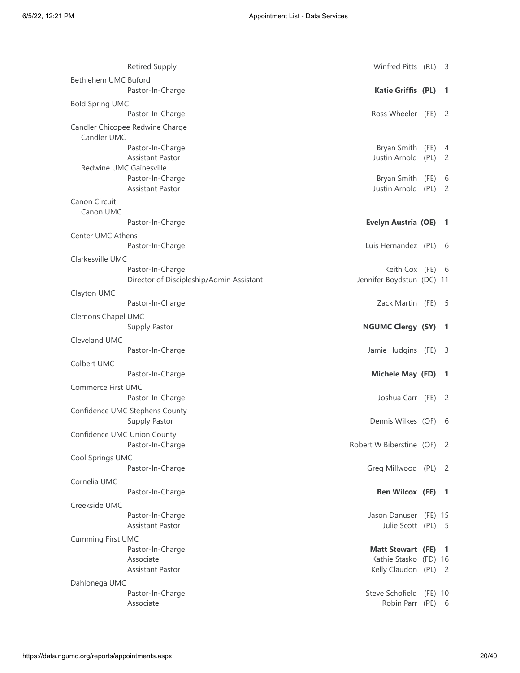|                             | <b>Retired Supply</b>                    | Winfred Pitts (RL)         |         | -3             |
|-----------------------------|------------------------------------------|----------------------------|---------|----------------|
| Bethlehem UMC Buford        |                                          |                            |         |                |
|                             | Pastor-In-Charge                         | <b>Katie Griffis (PL)</b>  |         | -1             |
| <b>Bold Spring UMC</b>      |                                          |                            |         |                |
|                             | Pastor-In-Charge                         | Ross Wheeler (FE)          |         | -2             |
| Candler UMC                 | Candler Chicopee Redwine Charge          |                            |         |                |
|                             | Pastor-In-Charge                         | Bryan Smith (FE)           |         | 4              |
| Redwine UMC Gainesville     | <b>Assistant Pastor</b>                  | Justin Arnold              | (PL)    | 2              |
|                             | Pastor-In-Charge                         | Bryan Smith (FE)           |         | 6              |
|                             | <b>Assistant Pastor</b>                  | Justin Arnold              | (PL)    | 2              |
| Canon Circuit               |                                          |                            |         |                |
| Canon UMC                   |                                          |                            |         |                |
|                             | Pastor-In-Charge                         | <b>Evelyn Austria (OE)</b> |         | $\mathbf{1}$   |
| Center UMC Athens           |                                          |                            |         |                |
|                             | Pastor-In-Charge                         | Luis Hernandez (PL)        |         | - 6            |
| Clarkesville UMC            |                                          |                            |         |                |
|                             | Pastor-In-Charge                         | Keith Cox (FE)             |         | - 6            |
|                             | Director of Discipleship/Admin Assistant | Jennifer Boydstun (DC) 11  |         |                |
| Clayton UMC                 |                                          |                            |         |                |
|                             | Pastor-In-Charge                         | Zack Martin (FE)           |         | -5             |
| Clemons Chapel UMC          |                                          |                            |         |                |
|                             | Supply Pastor                            | <b>NGUMC Clergy (SY)</b>   |         | -1             |
| Cleveland UMC               |                                          |                            |         |                |
|                             | Pastor-In-Charge                         | Jamie Hudgins (FE)         |         | -3             |
| Colbert UMC                 |                                          |                            |         |                |
|                             | Pastor-In-Charge                         | <b>Michele May (FD)</b>    |         | -1             |
| Commerce First UMC          |                                          |                            |         |                |
|                             | Pastor-In-Charge                         | Joshua Carr (FE)           |         | 2              |
|                             | Confidence UMC Stephens County           |                            |         |                |
|                             | Supply Pastor                            | Dennis Wilkes (OF)         |         | 6              |
| Confidence UMC Union County | Pastor-In-Charge                         | Robert W Biberstine (OF) 2 |         |                |
|                             |                                          |                            |         |                |
| Cool Springs UMC            | Pastor-In-Charge                         | Greg Millwood (PL) 2       |         |                |
| Cornelia UMC                |                                          |                            |         |                |
|                             | Pastor-In-Charge                         | <b>Ben Wilcox (FE)</b>     |         | $\mathbf{1}$   |
| Creekside UMC               |                                          |                            |         |                |
|                             | Pastor-In-Charge                         | Jason Danuser (FE) 15      |         |                |
|                             | <b>Assistant Pastor</b>                  | Julie Scott (PL) 5         |         |                |
| <b>Cumming First UMC</b>    |                                          |                            |         |                |
|                             | Pastor-In-Charge                         | <b>Matt Stewart (FE)</b>   |         | $\overline{1}$ |
|                             | Associate                                | Kathie Stasko (FD) 16      |         |                |
|                             | <b>Assistant Pastor</b>                  | Kelly Claudon (PL) 2       |         |                |
| Dahlonega UMC               |                                          |                            |         |                |
|                             | Pastor-In-Charge                         | Steve Schofield            | (FE) 10 |                |
|                             | Associate                                | Robin Parr                 | (PE) 6  |                |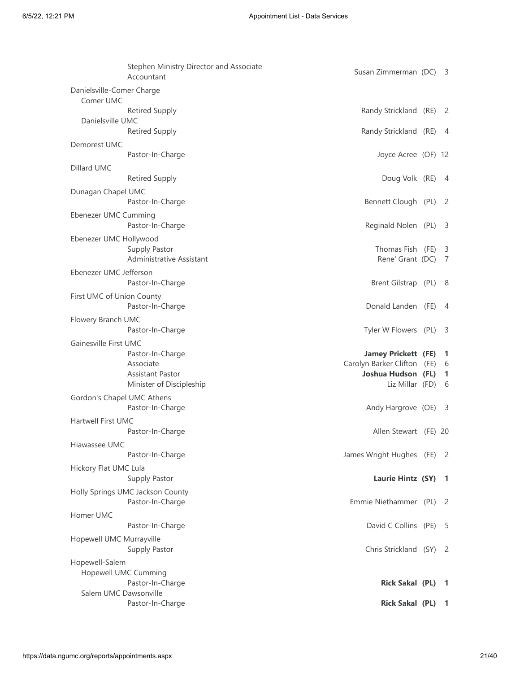|                                        | Stephen Ministry Director and Associate<br>Accountant | Susan Zimmerman (DC)                 | 3                          |
|----------------------------------------|-------------------------------------------------------|--------------------------------------|----------------------------|
| Danielsville-Comer Charge<br>Comer UMC |                                                       |                                      |                            |
|                                        | <b>Retired Supply</b>                                 | Randy Strickland (RE)                | $\overline{2}$             |
| Danielsville UMC                       |                                                       |                                      |                            |
|                                        | <b>Retired Supply</b>                                 | Randy Strickland (RE)                | - 4                        |
| Demorest UMC                           |                                                       |                                      |                            |
|                                        | Pastor-In-Charge                                      | Joyce Acree (OF) 12                  |                            |
| Dillard UMC                            |                                                       |                                      |                            |
|                                        | <b>Retired Supply</b>                                 | Doug Volk (RE) 4                     |                            |
| Dunagan Chapel UMC                     | Pastor-In-Charge                                      | Bennett Clough (PL)                  | - 2                        |
| Ebenezer UMC Cumming                   | Pastor-In-Charge                                      | Reginald Nolen (PL)                  | -3                         |
| Ebenezer UMC Hollywood                 |                                                       |                                      |                            |
|                                        | Supply Pastor<br>Administrative Assistant             | Thomas Fish (FE)<br>Rene' Grant (DC) | -3<br>7                    |
| Ebenezer UMC Jefferson                 |                                                       |                                      |                            |
|                                        | Pastor-In-Charge                                      | Brent Gilstrap (PL)                  | - 8                        |
| First UMC of Union County              | Pastor-In-Charge                                      | Donald Landen (FE)                   | 4                          |
| Flowery Branch UMC                     |                                                       |                                      |                            |
|                                        | Pastor-In-Charge                                      | Tyler W Flowers (PL)                 | -3                         |
| Gainesville First UMC                  |                                                       |                                      |                            |
|                                        | Pastor-In-Charge                                      | <b>Jamey Prickett (FE)</b>           | 1                          |
|                                        | Associate                                             | Carolyn Barker Clifton (FE)          | 6                          |
|                                        | <b>Assistant Pastor</b>                               | Joshua Hudson (FL)                   | 1                          |
|                                        | Minister of Discipleship                              | Liz Millar (FD)                      | 6                          |
| Gordon's Chapel UMC Athens             | Pastor-In-Charge                                      | Andy Hargrove (OE)                   | -3                         |
| Hartwell First UMC                     |                                                       |                                      |                            |
|                                        | Pastor-In-Charge                                      | Allen Stewart (FE) 20                |                            |
| Hiawassee UMC                          |                                                       |                                      |                            |
|                                        | Pastor-In-Charge                                      | James Wright Hughes (FE)             | $\overline{\phantom{0}}^2$ |
| Hickory Flat UMC Lula                  | Supply Pastor                                         | Laurie Hintz (SY)                    | - 1                        |
|                                        | Holly Springs UMC Jackson County                      |                                      |                            |
|                                        | Pastor-In-Charge                                      | Emmie Niethammer (PL)                | - 2                        |
| Homer UMC                              |                                                       |                                      |                            |
|                                        | Pastor-In-Charge                                      | David C Collins (PE)                 | -5                         |
| Hopewell UMC Murrayville               | Supply Pastor                                         | Chris Strickland (SY) 2              |                            |
| Hopewell-Salem                         |                                                       |                                      |                            |
| <b>Hopewell UMC Cumming</b>            |                                                       |                                      |                            |
|                                        | Pastor-In-Charge                                      | <b>Rick Sakal (PL)</b>               | -1                         |
| Salem UMC Dawsonville                  | Pastor-In-Charge                                      | <b>Rick Sakal (PL)</b>               | $\mathbf{1}$               |
|                                        |                                                       |                                      |                            |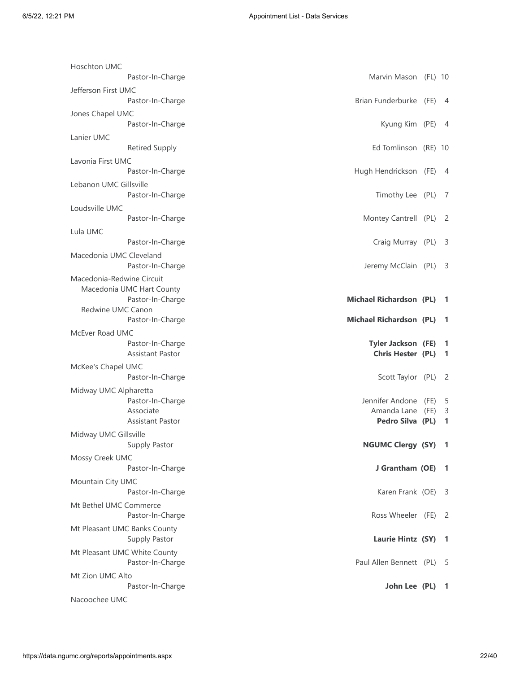| <b>Hoschton UMC</b>          |                                                                  |      |                |
|------------------------------|------------------------------------------------------------------|------|----------------|
|                              | Marvin Mason (FL) 10<br>Pastor-In-Charge                         |      |                |
| Jefferson First UMC          | Pastor-In-Charge<br>Brian Funderburke (FE) 4                     |      |                |
| Jones Chapel UMC             | Kyung Kim (PE) 4                                                 |      |                |
|                              | Pastor-In-Charge                                                 |      |                |
| Lanier UMC                   | Ed Tomlinson (RE) 10<br><b>Retired Supply</b>                    |      |                |
| Lavonia First UMC            |                                                                  |      |                |
|                              | Hugh Hendrickson (FE) 4<br>Pastor-In-Charge                      |      |                |
| Lebanon UMC Gillsville       | Pastor-In-Charge<br>Timothy Lee (PL)                             |      | - 7            |
| Loudsville UMC               |                                                                  |      |                |
|                              | Pastor-In-Charge<br>Montey Cantrell (PL)                         |      | - 2            |
| Lula UMC                     |                                                                  |      |                |
|                              | Craig Murray (PL)<br>Pastor-In-Charge                            |      | - 3            |
| Macedonia UMC Cleveland      | Pastor-In-Charge<br>Jeremy McClain (PL)                          |      | - 3            |
| Macedonia-Redwine Circuit    |                                                                  |      |                |
| Macedonia UMC Hart County    | <b>Michael Richardson (PL)</b><br>Pastor-In-Charge               |      | -1             |
| Redwine UMC Canon            | <b>Michael Richardson (PL)</b><br>Pastor-In-Charge               |      | -1             |
|                              |                                                                  |      |                |
| McEver Road UMC              |                                                                  |      |                |
|                              | Pastor-In-Charge<br><b>Tyler Jackson (FE)</b>                    |      | -1             |
|                              | <b>Assistant Pastor</b><br>Chris Hester (PL)                     |      | -1             |
| McKee's Chapel UMC           |                                                                  |      |                |
|                              | Scott Taylor (PL)<br>Pastor-In-Charge                            |      | $\overline{c}$ |
| Midway UMC Alpharetta        |                                                                  |      |                |
|                              | Pastor-In-Charge<br>Jennifer Andone                              | (FE) | -5             |
|                              | Associate<br>Amanda Lane<br>Assistant Pastor<br>Pedro Silva (PL) | (FE) | 3<br>1         |
| Midway UMC Gillsville        |                                                                  |      |                |
|                              | NGUMC Clergy (SY) 1<br>Supply Pastor                             |      |                |
| Mossy Creek UMC              | J Grantham (OE)<br>Pastor-In-Charge                              |      | - 1            |
| Mountain City UMC            |                                                                  |      |                |
|                              | Karen Frank (OE)<br>Pastor-In-Charge                             |      | - 3            |
| Mt Bethel UMC Commerce       | Pastor-In-Charge<br>Ross Wheeler (FE)                            |      | - 2            |
| Mt Pleasant UMC Banks County |                                                                  |      |                |
|                              | Supply Pastor<br>Laurie Hintz (SY)                               |      | $\mathbf{1}$   |
| Mt Pleasant UMC White County | Pastor-In-Charge<br>Paul Allen Bennett (PL)                      |      | - 5            |
| Mt Zion UMC Alto             |                                                                  |      |                |
|                              | Pastor-In-Charge<br>John Lee (PL) 1                              |      |                |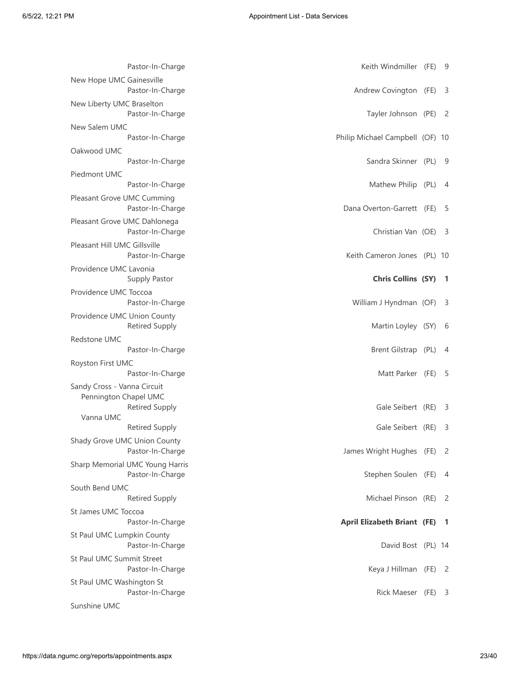| Pastor-In-Charge                                     | Keith Windmiller (FE)              | -9             |
|------------------------------------------------------|------------------------------------|----------------|
| New Hope UMC Gainesville<br>Pastor-In-Charge         | Andrew Covington (FE)              | 3              |
| New Liberty UMC Braselton<br>Pastor-In-Charge        | Tayler Johnson (PE) 2              |                |
| New Salem UMC<br>Pastor-In-Charge                    | Philip Michael Campbell (OF) 10    |                |
| Oakwood UMC<br>Pastor-In-Charge                      | Sandra Skinner (PL) 9              |                |
| Piedmont UMC<br>Pastor-In-Charge                     | Mathew Philip (PL)                 | 4              |
| Pleasant Grove UMC Cumming                           |                                    |                |
| Pastor-In-Charge                                     | Dana Overton-Garrett (FE)          | -5             |
| Pleasant Grove UMC Dahlonega<br>Pastor-In-Charge     | Christian Van (OE)                 | - 3            |
| Pleasant Hill UMC Gillsville<br>Pastor-In-Charge     | Keith Cameron Jones (PL) 10        |                |
| Providence UMC Lavonia<br>Supply Pastor              | <b>Chris Collins (SY)</b>          | -1             |
| Providence UMC Toccoa<br>Pastor-In-Charge            | William J Hyndman (OF) 3           |                |
| Providence UMC Union County<br><b>Retired Supply</b> | Martin Loyley (SY)                 | - 6            |
| Redstone UMC                                         |                                    |                |
| Pastor-In-Charge                                     | Brent Gilstrap (PL)                | 4              |
| Royston First UMC<br>Pastor-In-Charge                | Matt Parker (FE)                   | -5             |
| Sandy Cross - Vanna Circuit<br>Pennington Chapel UMC |                                    |                |
| <b>Retired Supply</b><br>Vanna UMC                   | Gale Seibert (RE)                  | 3              |
| <b>Retired Supply</b>                                | Gale Seibert (RE)                  | 3              |
| Shady Grove UMC Union County<br>Pastor-In-Charge     | James Wright Hughes (FE)           | $\overline{2}$ |
| Sharp Memorial UMC Young Harris<br>Pastor-In-Charge  | Stephen Soulen (FE)                | -4             |
| South Bend UMC<br><b>Retired Supply</b>              | Michael Pinson (RE)                | - 2            |
| St James UMC Toccoa                                  |                                    |                |
| Pastor-In-Charge                                     | <b>April Elizabeth Briant (FE)</b> | $\overline{1}$ |
| St Paul UMC Lumpkin County<br>Pastor-In-Charge       | David Bost (PL) 14                 |                |
| St Paul UMC Summit Street<br>Pastor-In-Charge        | Keya J Hillman (FE) 2              |                |
| St Paul UMC Washington St<br>Pastor-In-Charge        | Rick Maeser (FE)                   | -3             |
| Sunshine UMC                                         |                                    |                |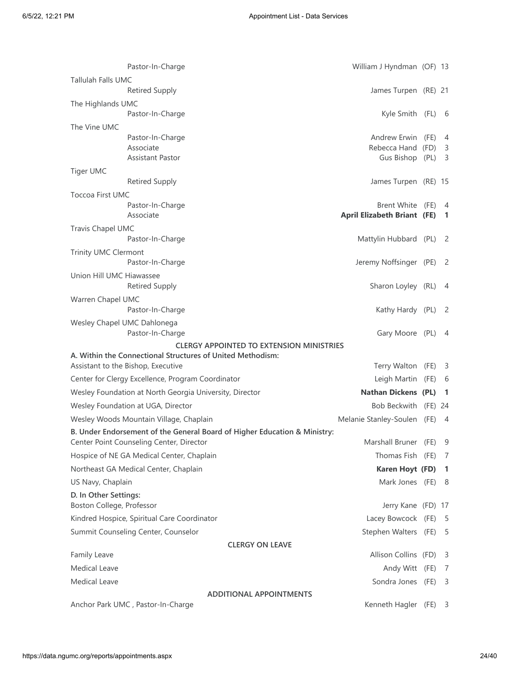|                                                    | Pastor-In-Charge                                                          | William J Hyndman (OF) 13                              |                                  |
|----------------------------------------------------|---------------------------------------------------------------------------|--------------------------------------------------------|----------------------------------|
| Tallulah Falls UMC                                 |                                                                           |                                                        |                                  |
|                                                    | <b>Retired Supply</b>                                                     | James Turpen (RE) 21                                   |                                  |
| The Highlands UMC                                  |                                                                           |                                                        |                                  |
|                                                    | Pastor-In-Charge                                                          | Kyle Smith (FL) 6                                      |                                  |
| The Vine UMC                                       | Pastor-In-Charge                                                          | Andrew Erwin (FE) 4                                    |                                  |
|                                                    | Associate                                                                 | Rebecca Hand (FD) 3                                    |                                  |
|                                                    | Assistant Pastor                                                          | Gus Bishop (PL) 3                                      |                                  |
| Tiger UMC                                          |                                                                           |                                                        |                                  |
|                                                    | <b>Retired Supply</b>                                                     | James Turpen (RE) 15                                   |                                  |
| <b>Toccoa First UMC</b>                            |                                                                           |                                                        |                                  |
|                                                    | Pastor-In-Charge<br>Associate                                             | Brent White (FE)<br><b>April Elizabeth Briant (FE)</b> | $\overline{4}$<br>$\overline{1}$ |
| Travis Chapel UMC                                  |                                                                           |                                                        |                                  |
|                                                    | Pastor-In-Charge                                                          | Mattylin Hubbard (PL) 2                                |                                  |
| Trinity UMC Clermont                               |                                                                           |                                                        |                                  |
|                                                    | Pastor-In-Charge                                                          | Jeremy Noffsinger (PE) 2                               |                                  |
| Union Hill UMC Hiawassee                           |                                                                           |                                                        |                                  |
|                                                    | <b>Retired Supply</b>                                                     | Sharon Loyley (RL) 4                                   |                                  |
| Warren Chapel UMC                                  |                                                                           |                                                        |                                  |
|                                                    | Pastor-In-Charge                                                          | Kathy Hardy (PL)                                       | - 2                              |
| Wesley Chapel UMC Dahlonega                        | Pastor-In-Charge                                                          | Gary Moore (PL) 4                                      |                                  |
|                                                    | <b>CLERGY APPOINTED TO EXTENSION MINISTRIES</b>                           |                                                        |                                  |
|                                                    | A. Within the Connectional Structures of United Methodism:                |                                                        |                                  |
| Assistant to the Bishop, Executive                 |                                                                           | Terry Walton (FE) 3                                    |                                  |
|                                                    | Center for Clergy Excellence, Program Coordinator                         | Leigh Martin (FE) 6                                    |                                  |
|                                                    | Wesley Foundation at North Georgia University, Director                   | Nathan Dickens (PL) 1                                  |                                  |
|                                                    | Wesley Foundation at UGA, Director                                        | Bob Beckwith (FE) 24                                   |                                  |
|                                                    | Wesley Woods Mountain Village, Chaplain                                   | Melanie Stanley-Soulen (FE) 4                          |                                  |
|                                                    | B. Under Endorsement of the General Board of Higher Education & Ministry: | Marshall Bruner (FE) 9                                 |                                  |
|                                                    | Center Point Counseling Center, Director                                  |                                                        |                                  |
|                                                    | Hospice of NE GA Medical Center, Chaplain                                 | Thomas Fish (FE) 7                                     |                                  |
|                                                    | Northeast GA Medical Center, Chaplain                                     | Karen Hoyt (FD) 1                                      |                                  |
| US Navy, Chaplain                                  |                                                                           | Mark Jones (FE) 8                                      |                                  |
| D. In Other Settings:<br>Boston College, Professor |                                                                           | Jerry Kane (FD) 17                                     |                                  |
|                                                    | Kindred Hospice, Spiritual Care Coordinator                               | Lacey Bowcock (FE) 5                                   |                                  |
|                                                    | Summit Counseling Center, Counselor                                       | Stephen Walters (FE) 5                                 |                                  |
|                                                    | <b>CLERGY ON LEAVE</b>                                                    |                                                        |                                  |
| Family Leave                                       |                                                                           | Allison Collins (FD)                                   | - 3                              |
| <b>Medical Leave</b>                               |                                                                           | Andy Witt (FE)                                         | 7                                |
| <b>Medical Leave</b>                               |                                                                           | Sondra Jones (FE)                                      | $\overline{\mathbf{3}}$          |
|                                                    | <b>ADDITIONAL APPOINTMENTS</b>                                            |                                                        |                                  |
|                                                    | Anchor Park UMC, Pastor-In-Charge                                         | Kenneth Hagler (FE)                                    | 3                                |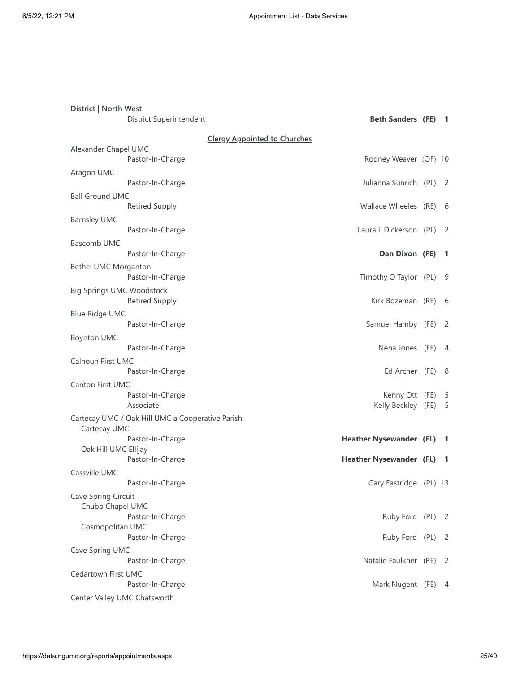| District   North West            | District Superintendent                          | <b>Beth Sanders (FE) 1</b>             |                |
|----------------------------------|--------------------------------------------------|----------------------------------------|----------------|
|                                  |                                                  |                                        |                |
| Alexander Chapel UMC             | <b>Clergy Appointed to Churches</b>              |                                        |                |
|                                  | Pastor-In-Charge                                 | Rodney Weaver (OF) 10                  |                |
| Aragon UMC                       |                                                  |                                        |                |
|                                  | Pastor-In-Charge                                 | Julianna Sunrich (PL) 2                |                |
| <b>Ball Ground UMC</b>           |                                                  |                                        |                |
|                                  | <b>Retired Supply</b>                            | Wallace Wheeles (RE) 6                 |                |
| <b>Barnsley UMC</b>              | Pastor-In-Charge                                 | Laura L Dickerson (PL) 2               |                |
| <b>Bascomb UMC</b>               |                                                  |                                        |                |
|                                  | Pastor-In-Charge                                 | Dan Dixon (FE)                         | $\blacksquare$ |
| Bethel UMC Morganton             | Pastor-In-Charge                                 | Timothy O Taylor (PL)                  | - 9            |
| <b>Big Springs UMC Woodstock</b> | <b>Retired Supply</b>                            | Kirk Bozeman (RE) 6                    |                |
| <b>Blue Ridge UMC</b>            |                                                  |                                        |                |
|                                  | Pastor-In-Charge                                 | Samuel Hamby (FE) 2                    |                |
| <b>Boynton UMC</b>               | Pastor-In-Charge                                 | Nena Jones (FE) 4                      |                |
| Calhoun First UMC                |                                                  |                                        |                |
|                                  | Pastor-In-Charge                                 | Ed Archer (FE)                         | - 8            |
| <b>Canton First UMC</b>          |                                                  |                                        |                |
|                                  | Pastor-In-Charge<br>Associate                    | Kenny Ott (FE) 5<br>Kelly Beckley (FE) | - 5            |
| Cartecay UMC                     | Cartecay UMC / Oak Hill UMC a Cooperative Parish |                                        |                |
|                                  | Pastor-In-Charge                                 | <b>Heather Nysewander (FL) 1</b>       |                |
| Oak Hill UMC Ellijay             |                                                  |                                        |                |
|                                  | Pastor-In-Charge                                 | <b>Heather Nysewander (FL) 1</b>       |                |
| Cassville UMC                    | Pastor-In-Charge                                 | Gary Eastridge (PL) 13                 |                |
| Cave Spring Circuit              |                                                  |                                        |                |
| Chubb Chapel UMC                 |                                                  |                                        |                |
|                                  | Pastor-In-Charge                                 | Ruby Ford (PL) 2                       |                |
| Cosmopolitan UMC                 | Pastor-In-Charge                                 | Ruby Ford (PL) 2                       |                |
| Cave Spring UMC                  |                                                  |                                        |                |
|                                  | Pastor-In-Charge                                 | Natalie Faulkner (PE)                  | $\overline{2}$ |
| Cedartown First UMC              |                                                  |                                        |                |
|                                  | Pastor-In-Charge                                 | Mark Nugent (FE) 4                     |                |
|                                  | Center Valley UMC Chatsworth                     |                                        |                |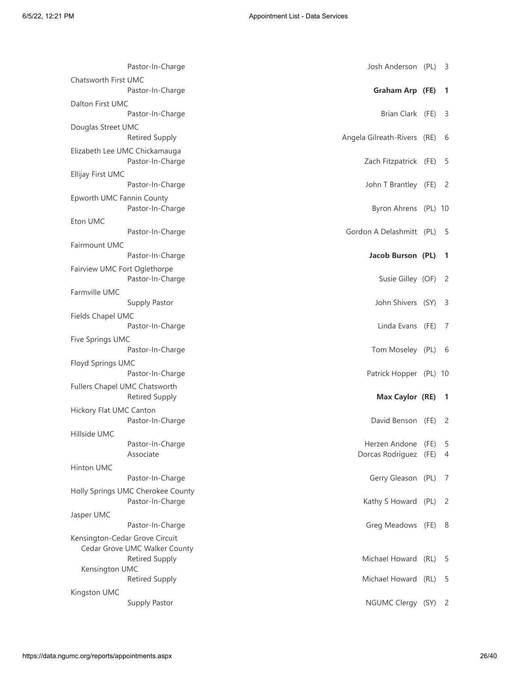| Pastor-In-Charge                                                  | Josh Anderson (PL)                           | -3                         |
|-------------------------------------------------------------------|----------------------------------------------|----------------------------|
| Chatsworth First UMC<br>Pastor-In-Charge                          | Graham Arp (FE)                              | -1                         |
| Dalton First UMC<br>Pastor-In-Charge                              | Brian Clark (FE)                             | 3                          |
| Douglas Street UMC<br><b>Retired Supply</b>                       | Angela Gilreath-Rivers (RE)                  | 6                          |
| Elizabeth Lee UMC Chickamauga<br>Pastor-In-Charge                 | Zach Fitzpatrick (FE)                        | 5                          |
| Ellijay First UMC                                                 |                                              |                            |
| Pastor-In-Charge<br>Epworth UMC Fannin County<br>Pastor-In-Charge | John T Brantley (FE)<br>Byron Ahrens (PL) 10 | -2                         |
| Eton UMC                                                          | Gordon A Delashmitt (PL)                     |                            |
| Pastor-In-Charge<br>Fairmount UMC                                 |                                              | -5                         |
| Pastor-In-Charge                                                  | Jacob Burson (PL)                            | -1                         |
| Fairview UMC Fort Oglethorpe<br>Pastor-In-Charge                  | Susie Gilley (OF)                            | - 2                        |
| Farmville UMC<br>Supply Pastor                                    | John Shivers (SY)                            | -3                         |
| Fields Chapel UMC<br>Pastor-In-Charge                             | Linda Evans (FE)                             | 7                          |
| Five Springs UMC<br>Pastor-In-Charge                              | Tom Moseley (PL)                             | - 6                        |
| Floyd Springs UMC<br>Pastor-In-Charge                             | Patrick Hopper (PL) 10                       |                            |
| Fullers Chapel UMC Chatsworth<br><b>Retired Supply</b>            | <b>Max Caylor (RE)</b>                       | -1                         |
| Hickory Flat UMC Canton<br>Pastor-In-Charge                       | David Benson (FE)                            | 2                          |
| Hillside UMC                                                      |                                              |                            |
| Pastor-In-Charge<br>Associate                                     | Herzen Andone (FE)<br>Dorcas Rodriguez (FE)  | 5<br>4                     |
| Hinton UMC                                                        |                                              |                            |
| Pastor-In-Charge<br>Holly Springs UMC Cherokee County             | Gerry Gleason (PL)                           | 7                          |
| Pastor-In-Charge                                                  | Kathy S Howard (PL)                          | $\overline{\phantom{0}}$   |
| Jasper UMC<br>Pastor-In-Charge                                    | Greg Meadows (FE)                            | - 8                        |
| Kensington-Cedar Grove Circuit<br>Cedar Grove UMC Walker County   |                                              |                            |
| <b>Retired Supply</b>                                             | Michael Howard (RL)                          | 5                          |
| Kensington UMC<br><b>Retired Supply</b>                           | Michael Howard (RL)                          | 5                          |
| Kingston UMC<br>Supply Pastor                                     | NGUMC Clergy (SY)                            | $\overline{\phantom{0}}^2$ |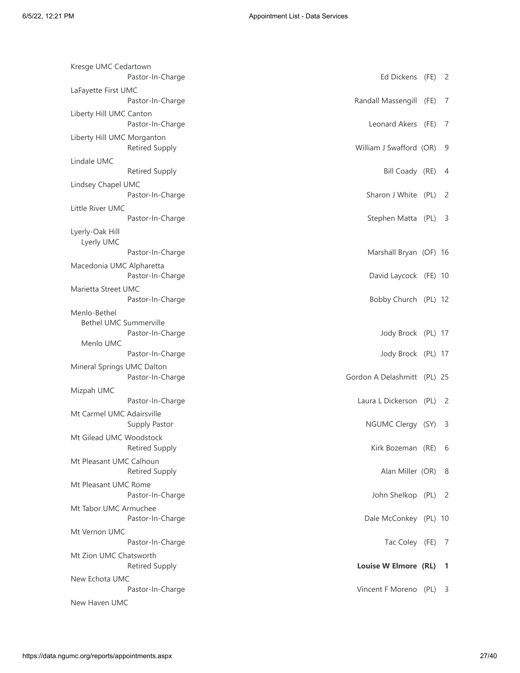| Kresge UMC Cedartown<br>Pastor-In-Charge            | Ed Dickens (FE) 2           |                         |
|-----------------------------------------------------|-----------------------------|-------------------------|
| LaFayette First UMC                                 |                             |                         |
| Pastor-In-Charge                                    | Randall Massengill (FE)     | 7                       |
| Liberty Hill UMC Canton<br>Pastor-In-Charge         | Leonard Akers (FE)          | 7                       |
| Liberty Hill UMC Morganton<br><b>Retired Supply</b> | William J Swafford (OR)     | - 9                     |
| Lindale UMC                                         |                             |                         |
| <b>Retired Supply</b>                               | Bill Coady (RE)             | 4                       |
| Lindsey Chapel UMC<br>Pastor-In-Charge              | Sharon J White (PL)         | 2                       |
| Little River UMC                                    |                             |                         |
| Pastor-In-Charge                                    | Stephen Matta (PL)          | - 3                     |
| Lyerly-Oak Hill<br>Lyerly UMC                       |                             |                         |
| Pastor-In-Charge                                    | Marshall Bryan (OF) 16      |                         |
| Macedonia UMC Alpharetta<br>Pastor-In-Charge        | David Laycock (FE) 10       |                         |
| Marietta Street UMC<br>Pastor-In-Charge             | Bobby Church (PL) 12        |                         |
| Menlo-Bethel                                        |                             |                         |
| <b>Bethel UMC Summerville</b><br>Pastor-In-Charge   | Jody Brock (PL) 17          |                         |
| Menlo UMC                                           |                             |                         |
| Pastor-In-Charge                                    | Jody Brock (PL) 17          |                         |
| Mineral Springs UMC Dalton<br>Pastor-In-Charge      | Gordon A Delashmitt (PL) 25 |                         |
| Mizpah UMC                                          |                             |                         |
| Pastor-In-Charge                                    | Laura L Dickerson (PL)      | - 2                     |
| Mt Carmel UMC Adairsville<br>Supply Pastor          | NGUMC Clergy (SY)           | 3                       |
| Mt Gilead UMC Woodstock<br><b>Retired Supply</b>    | Kirk Bozeman (RE)           | - 6                     |
| Mt Pleasant UMC Calhoun<br><b>Retired Supply</b>    | Alan Miller (OR) 8          |                         |
| Mt Pleasant UMC Rome<br>Pastor-In-Charge            | John Shelkop (PL) 2         |                         |
| Mt Tabor UMC Armuchee<br>Pastor-In-Charge           | Dale McConkey (PL) 10       |                         |
| Mt Vernon UMC                                       |                             |                         |
| Pastor-In-Charge                                    | Tac Coley (FE)              | 7                       |
| Mt Zion UMC Chatsworth<br><b>Retired Supply</b>     | Louise W Elmore (RL)        | - 1                     |
|                                                     |                             |                         |
| New Echota UMC<br>Pastor-In-Charge                  | Vincent F Moreno (PL)       | $\overline{\mathbf{3}}$ |
| New Haven UMC                                       |                             |                         |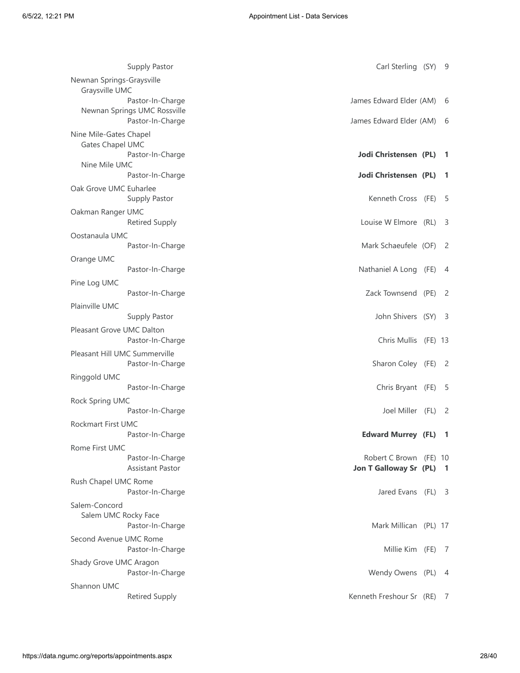| Supply Pastor                              | Carl Sterling (SY)         | -9                       |
|--------------------------------------------|----------------------------|--------------------------|
| Newnan Springs-Graysville                  |                            |                          |
| Graysville UMC<br>Pastor-In-Charge         | James Edward Elder (AM)    |                          |
| Newnan Springs UMC Rossville               |                            | 6                        |
| Pastor-In-Charge                           | James Edward Elder (AM)    | -6                       |
|                                            |                            |                          |
| Nine Mile-Gates Chapel<br>Gates Chapel UMC |                            |                          |
| Pastor-In-Charge                           | Jodi Christensen (PL)      | $\overline{\phantom{a}}$ |
| Nine Mile UMC                              |                            |                          |
| Pastor-In-Charge                           | Jodi Christensen (PL)      | -1                       |
| Oak Grove UMC Euharlee                     |                            |                          |
| Supply Pastor                              | Kenneth Cross (FE)         | -5                       |
| Oakman Ranger UMC                          |                            |                          |
| <b>Retired Supply</b>                      | Louise W Elmore (RL)       | -3                       |
|                                            |                            |                          |
| Oostanaula UMC<br>Pastor-In-Charge         | Mark Schaeufele (OF) 2     |                          |
|                                            |                            |                          |
| Orange UMC                                 |                            |                          |
| Pastor-In-Charge                           | Nathaniel A Long (FE)      | 4                        |
| Pine Log UMC                               |                            |                          |
| Pastor-In-Charge                           | Zack Townsend (PE)         | - 2                      |
| Plainville UMC                             |                            |                          |
| <b>Supply Pastor</b>                       | John Shivers (SY) 3        |                          |
| Pleasant Grove UMC Dalton                  |                            |                          |
| Pastor-In-Charge                           | Chris Mullis (FE) 13       |                          |
| Pleasant Hill UMC Summerville              |                            |                          |
| Pastor-In-Charge                           | Sharon Coley (FE)          | $\overline{2}$           |
| Ringgold UMC                               |                            |                          |
| Pastor-In-Charge                           | Chris Bryant (FE)          | - 5                      |
| Rock Spring UMC                            |                            |                          |
| Pastor-In-Charge                           | Joel Miller (FL)           | - 2                      |
| Rockmart First UMC                         |                            |                          |
| Pastor-In-Charge                           | <b>Edward Murrey (FL)</b>  | -1                       |
| Rome First UMC                             |                            |                          |
| Pastor-In-Charge                           | Robert C Brown (FE) 10     |                          |
| <b>Assistant Pastor</b>                    | Jon T Galloway Sr (PL)     | -1                       |
| Rush Chapel UMC Rome                       |                            |                          |
| Pastor-In-Charge                           | Jared Evans (FL) 3         |                          |
| Salem-Concord                              |                            |                          |
| Salem UMC Rocky Face                       |                            |                          |
| Pastor-In-Charge                           | Mark Millican (PL) 17      |                          |
| Second Avenue UMC Rome                     |                            |                          |
| Pastor-In-Charge                           | Millie Kim (FE) 7          |                          |
|                                            |                            |                          |
| Shady Grove UMC Aragon                     |                            |                          |
| Pastor-In-Charge                           | Wendy Owens (PL) 4         |                          |
| Shannon UMC                                |                            |                          |
| <b>Retired Supply</b>                      | Kenneth Freshour Sr (RE) 7 |                          |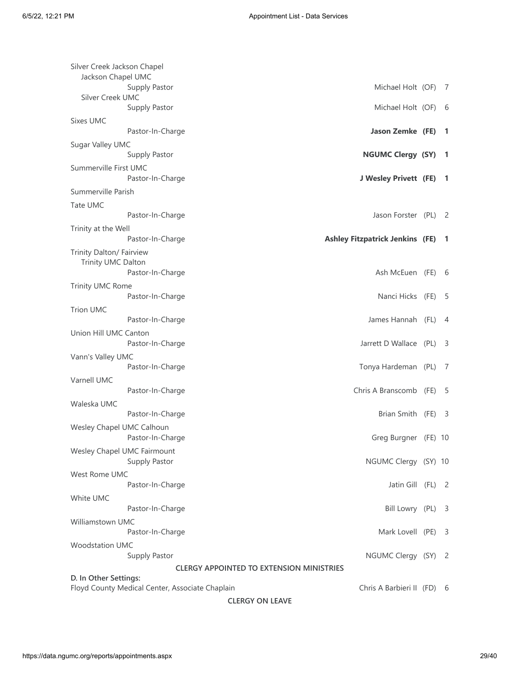| Silver Creek Jackson Chapel                     |                                        |                |
|-------------------------------------------------|----------------------------------------|----------------|
| Jackson Chapel UMC                              |                                        |                |
| Supply Pastor                                   | Michael Holt (OF)                      | - 7            |
| Silver Creek UMC                                | Michael Holt (OF)                      |                |
| Supply Pastor                                   |                                        | - 6            |
| Sixes UMC                                       |                                        |                |
| Pastor-In-Charge                                | Jason Zemke (FE)                       | -1             |
| Sugar Valley UMC                                |                                        |                |
| Supply Pastor                                   | <b>NGUMC Clergy (SY)</b>               | -1             |
| Summerville First UMC                           |                                        |                |
| Pastor-In-Charge                                | J Wesley Privett (FE)                  | -1             |
| Summerville Parish                              |                                        |                |
| Tate UMC                                        |                                        |                |
| Pastor-In-Charge                                | Jason Forster (PL)                     | -2             |
| Trinity at the Well                             |                                        |                |
| Pastor-In-Charge                                | <b>Ashley Fitzpatrick Jenkins (FE)</b> | -1             |
| Trinity Dalton/ Fairview                        |                                        |                |
| Trinity UMC Dalton                              |                                        |                |
| Pastor-In-Charge                                | Ash McEuen (FE) 6                      |                |
| Trinity UMC Rome                                |                                        |                |
| Pastor-In-Charge                                | Nanci Hicks (FE)                       | -5             |
| <b>Trion UMC</b>                                |                                        |                |
| Pastor-In-Charge                                | James Hannah (FL)                      | $\overline{4}$ |
| Union Hill UMC Canton                           |                                        |                |
| Pastor-In-Charge                                | Jarrett D Wallace (PL)                 | - 3            |
|                                                 |                                        |                |
| Vann's Valley UMC<br>Pastor-In-Charge           | Tonya Hardeman (PL)                    | -7             |
|                                                 |                                        |                |
| Varnell UMC                                     | Chris A Branscomb (FE)                 |                |
| Pastor-In-Charge                                |                                        | -5             |
| Waleska UMC                                     |                                        |                |
| Pastor-In-Charge                                | Brian Smith (FE)                       | - 3            |
| Wesley Chapel UMC Calhoun                       |                                        |                |
| Pastor-In-Charge                                | Greg Burgner (FE) 10                   |                |
| Wesley Chapel UMC Fairmount                     |                                        |                |
| Supply Pastor                                   | NGUMC Clergy (SY) 10                   |                |
| <b>West Rome UMC</b>                            |                                        |                |
| Pastor-In-Charge                                | Jatin Gill (FL)                        | - 2            |
| White UMC                                       |                                        |                |
| Pastor-In-Charge                                | Bill Lowry (PL)                        | -3             |
| <b>Williamstown UMC</b>                         |                                        |                |
| Pastor-In-Charge                                | Mark Lovell (PE)                       | - 3            |
| <b>Woodstation UMC</b>                          |                                        |                |
| Supply Pastor                                   | NGUMC Clergy (SY)                      | - 2            |
| <b>CLERGY APPOINTED TO EXTENSION MINISTRIES</b> |                                        |                |
| D. In Other Settings:                           |                                        |                |
| Floyd County Medical Center, Associate Chaplain | Chris A Barbieri II (FD) 6             |                |
| <b>CLERGY ON LEAVE</b>                          |                                        |                |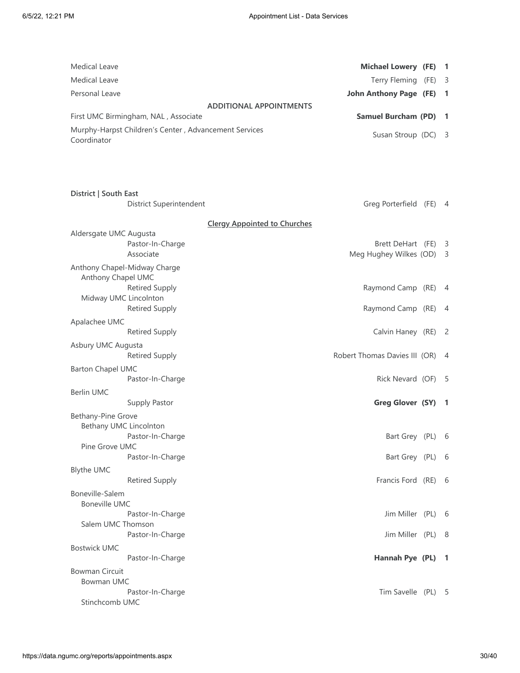| <b>Medical Leave</b>                |                                                       | <b>Michael Lowery (FE)</b>          | -1                      |
|-------------------------------------|-------------------------------------------------------|-------------------------------------|-------------------------|
| <b>Medical Leave</b>                |                                                       | Terry Fleming (FE)                  | - 3                     |
| Personal Leave                      |                                                       | <b>John Anthony Page (FE)</b>       | -1                      |
|                                     |                                                       | <b>ADDITIONAL APPOINTMENTS</b>      |                         |
|                                     | First UMC Birmingham, NAL, Associate                  | <b>Samuel Burcham (PD)</b>          | -1                      |
| Coordinator                         | Murphy-Harpst Children's Center, Advancement Services | Susan Stroup (DC)                   | -3                      |
|                                     |                                                       |                                     |                         |
| District   South East               |                                                       |                                     |                         |
|                                     | District Superintendent                               | Greg Porterfield (FE) 4             |                         |
|                                     |                                                       | <b>Clergy Appointed to Churches</b> |                         |
| Aldersgate UMC Augusta              |                                                       |                                     |                         |
|                                     | Pastor-In-Charge                                      | Brett DeHart (FE)                   | $\overline{\mathbf{3}}$ |
|                                     | Associate                                             | Meg Hughey Wilkes (OD)              | - 3                     |
| Anthony Chapel UMC                  | Anthony Chapel-Midway Charge                          |                                     |                         |
|                                     | <b>Retired Supply</b>                                 | Raymond Camp (RE)                   | -4                      |
| Midway UMC Lincolnton               |                                                       | Raymond Camp (RE)                   |                         |
|                                     | <b>Retired Supply</b>                                 |                                     | $\overline{4}$          |
| Apalachee UMC                       |                                                       |                                     |                         |
|                                     | <b>Retired Supply</b>                                 | Calvin Haney (RE)                   | - 2                     |
| Asbury UMC Augusta                  | <b>Retired Supply</b>                                 | Robert Thomas Davies III (OR)       | -4                      |
| <b>Barton Chapel UMC</b>            |                                                       |                                     |                         |
|                                     | Pastor-In-Charge                                      | Rick Nevard (OF)                    | - 5                     |
| <b>Berlin UMC</b>                   |                                                       |                                     |                         |
|                                     | Supply Pastor                                         | Greg Glover (SY)                    | $\blacksquare$          |
| Bethany-Pine Grove                  |                                                       |                                     |                         |
| Bethany UMC Lincolnton              |                                                       |                                     |                         |
|                                     | Pastor-In-Charge                                      | Bart Grey (PL) 6                    |                         |
| Pine Grove UMC                      |                                                       |                                     |                         |
|                                     | Pastor-In-Charge                                      | Bart Grey (PL)                      | 6                       |
| <b>Blythe UMC</b>                   |                                                       |                                     |                         |
|                                     | <b>Retired Supply</b>                                 | Francis Ford (RE)                   | - 6                     |
| Boneville-Salem                     |                                                       |                                     |                         |
| <b>Boneville UMC</b>                |                                                       |                                     |                         |
| Salem UMC Thomson                   | Pastor-In-Charge                                      | Jim Miller (PL)                     | - 6                     |
|                                     | Pastor-In-Charge                                      | Jim Miller (PL) 8                   |                         |
|                                     |                                                       |                                     |                         |
| <b>Bostwick UMC</b>                 | Pastor-In-Charge                                      | Hannah Pye (PL)                     | $\blacksquare$          |
|                                     |                                                       |                                     |                         |
| <b>Bowman Circuit</b><br>Bowman UMC |                                                       |                                     |                         |
|                                     | Pastor-In-Charge                                      | Tim Savelle (PL) 5                  |                         |
| Stinchcomb UMC                      |                                                       |                                     |                         |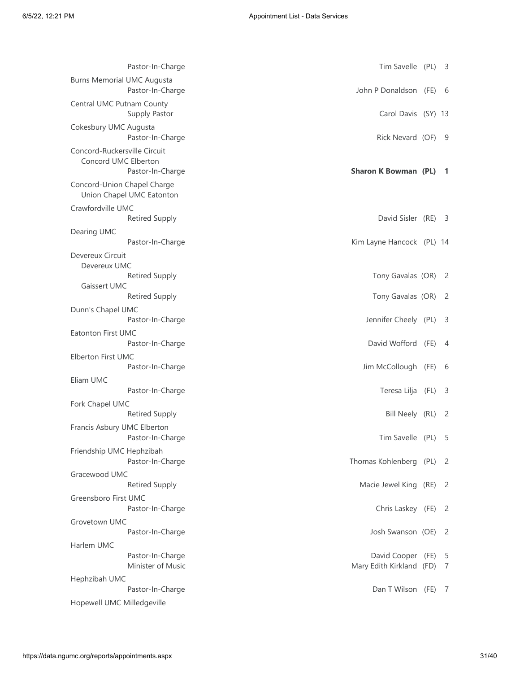| Pastor-In-Charge                                                         | Tim Savelle (PL) 3                            |                            |
|--------------------------------------------------------------------------|-----------------------------------------------|----------------------------|
| <b>Burns Memorial UMC Augusta</b><br>Pastor-In-Charge                    | John P Donaldson (FE) 6                       |                            |
| Central UMC Putnam County<br>Supply Pastor                               | Carol Davis (SY) 13                           |                            |
| Cokesbury UMC Augusta<br>Pastor-In-Charge                                | Rick Nevard (OF) 9                            |                            |
| Concord-Ruckersville Circuit<br>Concord UMC Elberton<br>Pastor-In-Charge | Sharon K Bowman (PL) 1                        |                            |
| Concord-Union Chapel Charge<br>Union Chapel UMC Eatonton                 |                                               |                            |
| Crawfordville UMC<br><b>Retired Supply</b>                               | David Sisler (RE) 3                           |                            |
| Dearing UMC<br>Pastor-In-Charge                                          | Kim Layne Hancock (PL) 14                     |                            |
| Devereux Circuit<br>Devereux UMC                                         |                                               |                            |
| <b>Retired Supply</b><br>Gaissert UMC                                    | Tony Gavalas (OR) 2                           |                            |
| <b>Retired Supply</b>                                                    | Tony Gavalas (OR)                             | - 2                        |
| Dunn's Chapel UMC<br>Pastor-In-Charge                                    | Jennifer Cheely (PL) 3                        |                            |
| Eatonton First UMC<br>Pastor-In-Charge                                   | David Wofford (FE) 4                          |                            |
| Elberton First UMC<br>Pastor-In-Charge                                   | Jim McCollough (FE) 6                         |                            |
| Eliam UMC<br>Pastor-In-Charge                                            | Teresa Lilja (FL)                             | $\overline{\mathbf{3}}$    |
| Fork Chapel UMC<br><b>Retired Supply</b>                                 | Bill Neely (RL)                               | - 2                        |
| Francis Asbury UMC Elberton<br>Pastor-In-Charge                          | Tim Savelle (PL) 5                            |                            |
| Friendship UMC Hephzibah<br>Pastor-In-Charge                             | Thomas Kohlenberg (PL) 2                      |                            |
| Gracewood UMC                                                            |                                               |                            |
| <b>Retired Supply</b>                                                    | Macie Jewel King (RE)                         | $\overline{\phantom{0}}^2$ |
| Greensboro First UMC<br>Pastor-In-Charge                                 | Chris Laskey (FE) 2                           |                            |
| Grovetown UMC                                                            |                                               |                            |
| Pastor-In-Charge                                                         | Josh Swanson (OE) 2                           |                            |
| Harlem UMC                                                               |                                               |                            |
| Pastor-In-Charge<br>Minister of Music                                    | David Cooper (FE)<br>Mary Edith Kirkland (FD) | - 5<br>$\overline{7}$      |
| Hephzibah UMC                                                            |                                               |                            |
| Pastor-In-Charge<br>Hopewell UMC Milledgeville                           | Dan T Wilson (FE)                             | $\overline{7}$             |
|                                                                          |                                               |                            |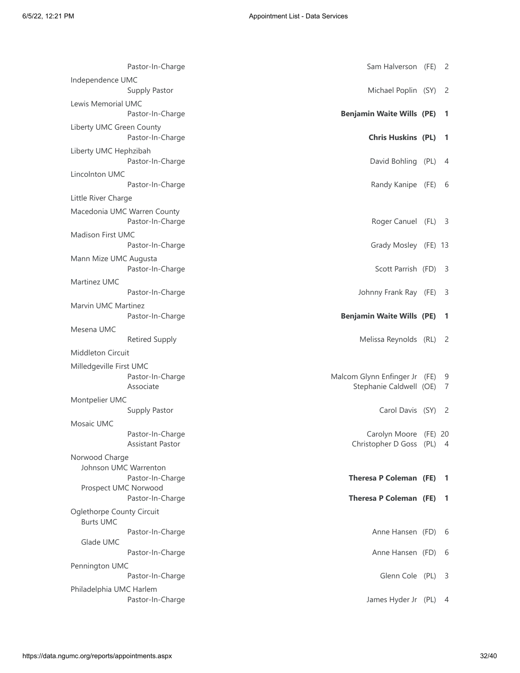| Pastor-In-Charge                                | Sam Halverson (FE) 2                                     |                            |
|-------------------------------------------------|----------------------------------------------------------|----------------------------|
| Independence UMC<br>Supply Pastor               | Michael Poplin (SY)                                      | $\overline{\phantom{0}}^2$ |
| Lewis Memorial UMC<br>Pastor-In-Charge          | <b>Benjamin Waite Wills (PE) 1</b>                       |                            |
| Liberty UMC Green County<br>Pastor-In-Charge    | <b>Chris Huskins (PL)</b>                                | - 1                        |
| Liberty UMC Hephzibah<br>Pastor-In-Charge       | David Bohling (PL)                                       | -4                         |
| Lincolnton UMC                                  |                                                          |                            |
| Pastor-In-Charge                                | Randy Kanipe (FE) 6                                      |                            |
| Little River Charge                             |                                                          |                            |
| Macedonia UMC Warren County<br>Pastor-In-Charge | Roger Canuel (FL) 3                                      |                            |
| Madison First UMC<br>Pastor-In-Charge           | Grady Mosley (FE) 13                                     |                            |
| Mann Mize UMC Augusta<br>Pastor-In-Charge       | Scott Parrish (FD) 3                                     |                            |
| Martinez UMC                                    |                                                          |                            |
| Pastor-In-Charge                                | Johnny Frank Ray (FE)                                    | - 3                        |
| Marvin UMC Martinez<br>Pastor-In-Charge         | <b>Benjamin Waite Wills (PE)</b>                         | $\mathbf{1}$               |
| Mesena UMC                                      |                                                          |                            |
| <b>Retired Supply</b>                           | Melissa Reynolds (RL) 2                                  |                            |
| <b>Middleton Circuit</b>                        |                                                          |                            |
| Milledgeville First UMC                         |                                                          |                            |
| Pastor-In-Charge<br>Associate                   | Malcom Glynn Enfinger Jr (FE)<br>Stephanie Caldwell (OE) | 9<br>7                     |
| Montpelier UMC                                  |                                                          |                            |
| Supply Pastor                                   | Carol Davis (SY) 2                                       |                            |
| Mosaic UMC                                      |                                                          |                            |
| Pastor-In-Charge<br><b>Assistant Pastor</b>     | Carolyn Moore (FE) 20<br>Christopher D Goss (PL) 4       |                            |
| Norwood Charge                                  |                                                          |                            |
| Johnson UMC Warrenton                           |                                                          |                            |
| Pastor-In-Charge                                | Theresa P Coleman (FE) 1                                 |                            |
| Prospect UMC Norwood<br>Pastor-In-Charge        | Theresa P Coleman (FE) 1                                 |                            |
|                                                 |                                                          |                            |
| Oglethorpe County Circuit<br><b>Burts UMC</b>   |                                                          |                            |
| Pastor-In-Charge<br>Glade UMC                   | Anne Hansen (FD) 6                                       |                            |
|                                                 | Anne Hansen (FD) 6                                       |                            |
| Pastor-In-Charge                                |                                                          |                            |
|                                                 |                                                          |                            |
| Pennington UMC<br>Pastor-In-Charge              | Glenn Cole (PL) 3                                        |                            |
| Philadelphia UMC Harlem<br>Pastor-In-Charge     | James Hyder Jr (PL) 4                                    |                            |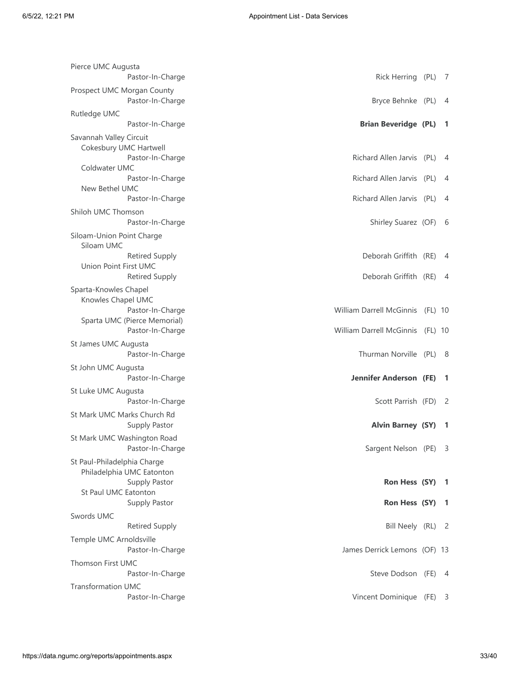| Pierce UMC Augusta                          |                                                |                                  |                |
|---------------------------------------------|------------------------------------------------|----------------------------------|----------------|
|                                             | Pastor-In-Charge<br>Prospect UMC Morgan County | Rick Herring (PL) 7              |                |
|                                             | Pastor-In-Charge                               | Bryce Behnke (PL)                | -4             |
| Rutledge UMC                                |                                                |                                  |                |
|                                             | Pastor-In-Charge                               | <b>Brian Beveridge (PL)</b>      | -1             |
| Savannah Valley Circuit                     | Cokesbury UMC Hartwell                         |                                  |                |
|                                             | Pastor-In-Charge                               | Richard Allen Jarvis (PL)        | 4              |
| Coldwater UMC                               |                                                | Richard Allen Jarvis (PL)        |                |
| New Bethel UMC                              | Pastor-In-Charge                               |                                  | 4              |
|                                             | Pastor-In-Charge                               | Richard Allen Jarvis (PL)        | 4              |
| Shiloh UMC Thomson                          |                                                |                                  |                |
|                                             | Pastor-In-Charge                               | Shirley Suarez (OF)              | - 6            |
| Siloam-Union Point Charge<br>Siloam UMC     |                                                |                                  |                |
|                                             | <b>Retired Supply</b>                          | Deborah Griffith (RE)            | $\overline{4}$ |
| Union Point First UMC                       |                                                |                                  |                |
|                                             | <b>Retired Supply</b>                          | Deborah Griffith (RE)            | 4              |
| Sparta-Knowles Chapel<br>Knowles Chapel UMC |                                                |                                  |                |
|                                             | Pastor-In-Charge                               | William Darrell McGinnis (FL) 10 |                |
|                                             | Sparta UMC (Pierce Memorial)                   |                                  |                |
|                                             | Pastor-In-Charge                               | William Darrell McGinnis (FL) 10 |                |
| St James UMC Augusta                        | Pastor-In-Charge                               | Thurman Norville (PL)            | - 8            |
| St John UMC Augusta                         |                                                |                                  |                |
|                                             | Pastor-In-Charge                               | <b>Jennifer Anderson (FE)</b>    | -1             |
| St Luke UMC Augusta                         |                                                |                                  |                |
|                                             | Pastor-In-Charge                               | Scott Parrish (FD) 2             |                |
|                                             | St Mark UMC Marks Church Rd<br>Supply Pastor   | <b>Alvin Barney (SY)</b>         |                |
|                                             | St Mark UMC Washington Road                    |                                  |                |
|                                             | Pastor-In-Charge                               | Sargent Nelson (PE) 3            |                |
| St Paul-Philadelphia Charge                 |                                                |                                  |                |
|                                             | Philadelphia UMC Eatonton                      |                                  |                |
| St Paul UMC Eatonton                        | Supply Pastor                                  | Ron Hess (SY) 1                  |                |
|                                             | Supply Pastor                                  | Ron Hess (SY)                    | - 1            |
| Swords UMC                                  |                                                |                                  |                |
|                                             | <b>Retired Supply</b>                          | Bill Neely (RL) 2                |                |
| Temple UMC Arnoldsville                     |                                                |                                  |                |
|                                             | Pastor-In-Charge                               | James Derrick Lemons (OF) 13     |                |
| <b>Thomson First UMC</b>                    | Pastor-In-Charge                               | Steve Dodson (FE) 4              |                |
| <b>Transformation UMC</b>                   |                                                |                                  |                |
|                                             | Pastor-In-Charge                               | Vincent Dominique (FE) 3         |                |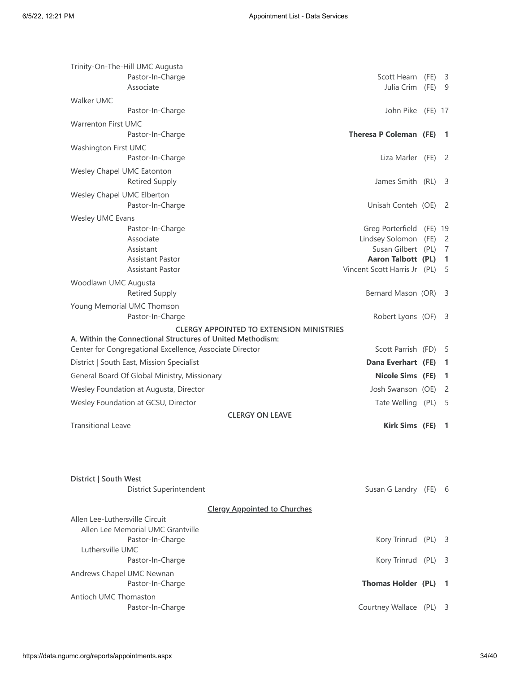| Trinity-On-The-Hill UMC Augusta                                     |                                                 |                 |                     |
|---------------------------------------------------------------------|-------------------------------------------------|-----------------|---------------------|
| Pastor-In-Charge<br>Associate                                       | Scott Hearn (FE)<br>Julia Crim (FE)             |                 | - 3<br>9            |
| Walker UMC                                                          |                                                 |                 |                     |
| Pastor-In-Charge                                                    | John Pike (FE) 17                               |                 |                     |
| <b>Warrenton First UMC</b><br>Pastor-In-Charge                      | <b>Theresa P Coleman (FE)</b>                   |                 | -1                  |
| Washington First UMC<br>Pastor-In-Charge                            | Liza Marler (FE)                                |                 | - 2                 |
| Wesley Chapel UMC Eatonton<br><b>Retired Supply</b>                 | James Smith (RL)                                |                 | -3                  |
| Wesley Chapel UMC Elberton<br>Pastor-In-Charge                      | Unisah Conteh (OE)                              |                 | - 2                 |
| Wesley UMC Evans                                                    |                                                 |                 |                     |
| Pastor-In-Charge<br>Associate                                       | Greg Porterfield<br>Lindsey Solomon             | (FE) 19<br>(FE) | $\overline{2}$      |
| Assistant<br><b>Assistant Pastor</b>                                | Susan Gilbert (PL)<br><b>Aaron Talbott (PL)</b> |                 | $\overline{7}$<br>1 |
| <b>Assistant Pastor</b>                                             | Vincent Scott Harris Jr (PL)                    |                 | -5                  |
| Woodlawn UMC Augusta                                                |                                                 |                 |                     |
| <b>Retired Supply</b>                                               | Bernard Mason (OR)                              |                 | -3                  |
| Young Memorial UMC Thomson<br>Pastor-In-Charge                      | Robert Lyons (OF)                               |                 | - 3                 |
| <b>CLERGY APPOINTED TO EXTENSION MINISTRIES</b>                     |                                                 |                 |                     |
| A. Within the Connectional Structures of United Methodism:          |                                                 |                 |                     |
| Center for Congregational Excellence, Associate Director            | Scott Parrish (FD)                              |                 | -5                  |
| District   South East, Mission Specialist                           | Dana Everhart (FE)                              |                 | -1                  |
| General Board Of Global Ministry, Missionary                        | <b>Nicole Sims (FE)</b>                         |                 | -1                  |
| Wesley Foundation at Augusta, Director                              | Josh Swanson (OE)                               |                 | -2                  |
| Wesley Foundation at GCSU, Director                                 | Tate Welling (PL)                               |                 | -5                  |
| <b>CLERGY ON LEAVE</b>                                              |                                                 |                 |                     |
| <b>Transitional Leave</b>                                           | Kirk Sims (FE)                                  |                 | п.                  |
| District   South West<br>District Superintendent                    | Susan G Landry (FE) 6                           |                 |                     |
| <b>Clergy Appointed to Churches</b>                                 |                                                 |                 |                     |
| Allen Lee-Luthersville Circuit<br>Allen Lee Memorial UMC Grantville |                                                 |                 |                     |
| Pastor-In-Charge<br>Luthersville UMC                                | Kory Trinrud (PL) 3                             |                 |                     |
| Pastor-In-Charge                                                    | Kory Trinrud (PL) 3                             |                 |                     |
| Andrews Chapel UMC Newnan<br>Pastor-In-Charge                       | <b>Thomas Holder (PL)</b>                       |                 | -1                  |
| Antioch UMC Thomaston<br>Pastor-In-Charge                           | Courtney Wallace (PL) 3                         |                 |                     |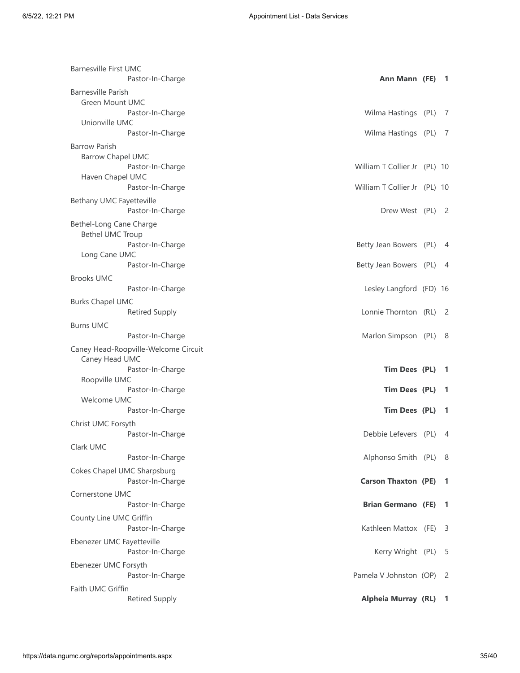| <b>Barnesville First UMC</b><br>Pastor-In-Charge | Ann Mann (FE) 1              |                |
|--------------------------------------------------|------------------------------|----------------|
| Barnesville Parish                               |                              |                |
| Green Mount UMC                                  |                              |                |
| Pastor-In-Charge                                 | Wilma Hastings (PL) 7        |                |
| Unionville UMC                                   |                              |                |
| Pastor-In-Charge                                 | Wilma Hastings (PL)          | - 7            |
| <b>Barrow Parish</b>                             |                              |                |
| <b>Barrow Chapel UMC</b>                         |                              |                |
| Pastor-In-Charge<br>Haven Chapel UMC             | William T Collier Jr (PL) 10 |                |
| Pastor-In-Charge                                 | William T Collier Jr (PL) 10 |                |
| Bethany UMC Fayetteville                         |                              |                |
| Pastor-In-Charge                                 | Drew West (PL) 2             |                |
| Bethel-Long Cane Charge                          |                              |                |
| <b>Bethel UMC Troup</b>                          |                              |                |
| Pastor-In-Charge                                 | Betty Jean Bowers (PL) 4     |                |
| Long Cane UMC                                    |                              |                |
| Pastor-In-Charge                                 | Betty Jean Bowers (PL) 4     |                |
| <b>Brooks UMC</b>                                |                              |                |
| Pastor-In-Charge                                 | Lesley Langford (FD) 16      |                |
| <b>Burks Chapel UMC</b>                          |                              |                |
| <b>Retired Supply</b>                            | Lonnie Thornton (RL) 2       |                |
| <b>Burns UMC</b>                                 |                              |                |
| Pastor-In-Charge                                 | Marlon Simpson (PL) 8        |                |
| Caney Head-Roopville-Welcome Circuit             |                              |                |
| Caney Head UMC                                   |                              |                |
| Pastor-In-Charge                                 | Tim Dees (PL)                | - 1            |
| Roopville UMC<br>Pastor-In-Charge                | Tim Dees (PL)                | -1             |
| Welcome UMC                                      |                              |                |
| Pastor-In-Charge                                 | Tim Dees (PL)                | - 1            |
| Christ UMC Forsyth                               |                              |                |
| Pastor-In-Charge                                 | Debbie Lefevers (PL)         | 4              |
| Clark UMC                                        |                              |                |
| Pastor-In-Charge                                 | Alphonso Smith (PL) 8        |                |
| Cokes Chapel UMC Sharpsburg                      |                              |                |
| Pastor-In-Charge                                 | <b>Carson Thaxton (PE)</b>   | -1             |
| <b>Cornerstone UMC</b>                           |                              |                |
| Pastor-In-Charge                                 | <b>Brian Germano (FE)</b>    | $\blacksquare$ |
| County Line UMC Griffin                          |                              |                |
| Pastor-In-Charge                                 | Kathleen Mattox (FE)         | - 3            |
| Ebenezer UMC Fayetteville                        |                              |                |
| Pastor-In-Charge                                 | Kerry Wright (PL)            | - 5            |
| Ebenezer UMC Forsyth                             |                              |                |
| Pastor-In-Charge                                 | Pamela V Johnston (OP)       | - 2            |
| Faith UMC Griffin                                |                              |                |
| <b>Retired Supply</b>                            | Alpheia Murray (RL) 1        |                |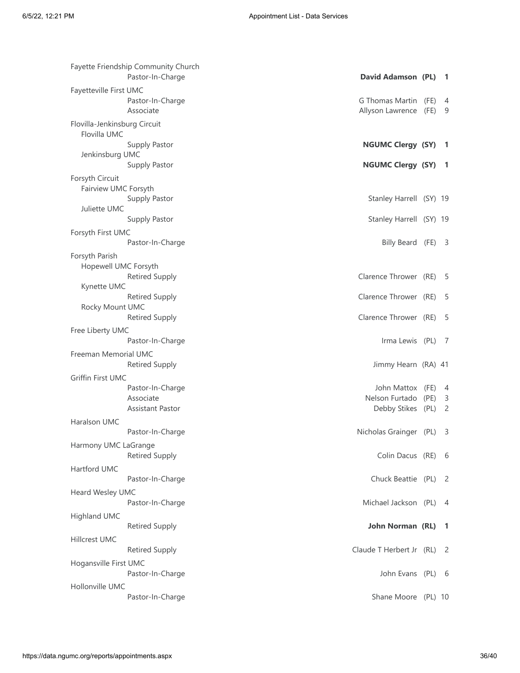| Fayette Friendship Community Church<br>Pastor-In-Charge | David Adamson (PL)                      |      | - 1            |
|---------------------------------------------------------|-----------------------------------------|------|----------------|
| Fayetteville First UMC                                  |                                         |      |                |
| Pastor-In-Charge                                        | G Thomas Martin                         | (FE) | 4              |
| Associate                                               | Allyson Lawrence                        | (FE) | -9             |
| Flovilla-Jenkinsburg Circuit                            |                                         |      |                |
| Flovilla UMC                                            |                                         |      |                |
| Supply Pastor                                           | <b>NGUMC Clergy (SY)</b>                |      | $\overline{1}$ |
| Jenkinsburg UMC                                         |                                         |      |                |
| Supply Pastor                                           | <b>NGUMC Clergy (SY)</b>                |      | - 1            |
| Forsyth Circuit                                         |                                         |      |                |
| Fairview UMC Forsyth                                    |                                         |      |                |
| Supply Pastor<br>Juliette UMC                           | Stanley Harrell (SY) 19                 |      |                |
| Supply Pastor                                           | Stanley Harrell (SY) 19                 |      |                |
| Forsyth First UMC                                       |                                         |      |                |
| Pastor-In-Charge                                        | Billy Beard (FE) 3                      |      |                |
| Forsyth Parish                                          |                                         |      |                |
| Hopewell UMC Forsyth                                    |                                         |      |                |
| <b>Retired Supply</b>                                   | Clarence Thrower (RE)                   |      | - 5            |
| Kynette UMC                                             |                                         |      |                |
| <b>Retired Supply</b>                                   | Clarence Thrower (RE)                   |      | - 5            |
| Rocky Mount UMC                                         |                                         |      |                |
| <b>Retired Supply</b>                                   | Clarence Thrower (RE)                   |      | - 5            |
| Free Liberty UMC                                        |                                         |      |                |
| Pastor-In-Charge                                        | Irma Lewis (PL)                         |      | - 7            |
| Freeman Memorial UMC                                    |                                         |      |                |
| <b>Retired Supply</b>                                   | Jimmy Hearn (RA) 41                     |      |                |
| Griffin First UMC                                       |                                         |      |                |
| Pastor-In-Charge<br>Associate                           | John Mattox (FE)<br>Nelson Furtado (PE) |      | -4<br>-3       |
| Assistant Pastor                                        | Debby Stikes (PL)                       |      | $\overline{2}$ |
| Haralson UMC                                            |                                         |      |                |
| Pastor-In-Charge                                        | Nicholas Grainger (PL)                  |      | -3             |
| Harmony UMC LaGrange                                    |                                         |      |                |
| <b>Retired Supply</b>                                   | Colin Dacus (RE)                        |      | - 6            |
| Hartford UMC                                            |                                         |      |                |
| Pastor-In-Charge                                        | Chuck Beattie (PL)                      |      | - 2            |
| Heard Wesley UMC                                        |                                         |      |                |
| Pastor-In-Charge                                        | Michael Jackson (PL)                    |      | - 4            |
| Highland UMC                                            |                                         |      |                |
| <b>Retired Supply</b>                                   | John Norman (RL)                        |      | $\blacksquare$ |
| <b>Hillcrest UMC</b>                                    |                                         |      |                |
| <b>Retired Supply</b>                                   | Claude T Herbert Jr (RL)                |      | - 2            |
| Hogansville First UMC                                   |                                         |      |                |
| Pastor-In-Charge                                        | John Evans (PL) 6                       |      |                |
| Hollonville UMC                                         |                                         |      |                |
| Pastor-In-Charge                                        | Shane Moore (PL) 10                     |      |                |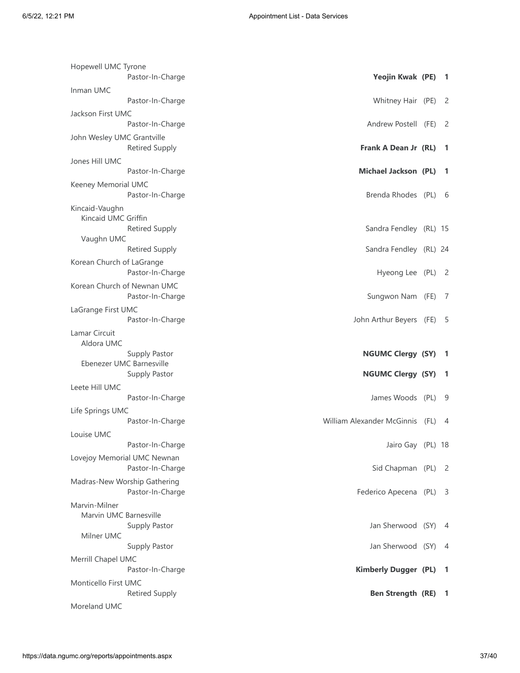| Hopewell UMC Tyrone        |                                                  |                                 |                            |
|----------------------------|--------------------------------------------------|---------------------------------|----------------------------|
|                            | Pastor-In-Charge                                 | Yeojin Kwak (PE)                | - 1                        |
| Inman UMC                  | Pastor-In-Charge                                 | Whitney Hair (PE)               | - 2                        |
| Jackson First UMC          |                                                  |                                 |                            |
|                            | Pastor-In-Charge                                 | Andrew Postell (FE)             | - 2                        |
| John Wesley UMC Grantville | <b>Retired Supply</b>                            | Frank A Dean Jr (RL)            | -1                         |
| Jones Hill UMC             |                                                  |                                 |                            |
|                            | Pastor-In-Charge                                 | <b>Michael Jackson (PL)</b>     | -1                         |
| Keeney Memorial UMC        | Pastor-In-Charge                                 | Brenda Rhodes (PL) 6            |                            |
| Kincaid-Vaughn             |                                                  |                                 |                            |
| Kincaid UMC Griffin        |                                                  |                                 |                            |
| Vaughn UMC                 | <b>Retired Supply</b>                            | Sandra Fendley (RL) 15          |                            |
|                            | <b>Retired Supply</b>                            | Sandra Fendley (RL) 24          |                            |
| Korean Church of LaGrange  |                                                  |                                 |                            |
|                            | Pastor-In-Charge                                 | Hyeong Lee (PL) 2               |                            |
|                            | Korean Church of Newnan UMC<br>Pastor-In-Charge  | Sungwon Nam (FE)                | - 7                        |
| LaGrange First UMC         |                                                  |                                 |                            |
|                            | Pastor-In-Charge                                 | John Arthur Beyers (FE)         | - 5                        |
| Lamar Circuit              |                                                  |                                 |                            |
|                            |                                                  |                                 |                            |
| Aldora UMC                 |                                                  |                                 |                            |
|                            | Supply Pastor<br>Ebenezer UMC Barnesville        | <b>NGUMC Clergy (SY)</b>        | -1                         |
|                            | Supply Pastor                                    | <b>NGUMC Clergy (SY)</b>        | -1                         |
| Leete Hill UMC             |                                                  |                                 |                            |
|                            | Pastor-In-Charge                                 | James Woods (PL)                | - 9                        |
| Life Springs UMC           |                                                  |                                 |                            |
|                            | Pastor-In-Charge                                 | William Alexander McGinnis (FL) | 4                          |
| Louise UMC                 |                                                  |                                 |                            |
|                            | Pastor-In-Charge                                 | Jairo Gay (PL) 18               |                            |
|                            | Lovejoy Memorial UMC Newnan<br>Pastor-In-Charge  | Sid Chapman (PL)                | $\overline{\phantom{0}}^2$ |
|                            | Madras-New Worship Gathering<br>Pastor-In-Charge | Federico Apecena (PL) 3         |                            |
| Marvin-Milner              |                                                  |                                 |                            |
| Marvin UMC Barnesville     |                                                  |                                 |                            |
| Milner UMC                 | Supply Pastor                                    | Jan Sherwood (SY)               | - 4                        |
|                            | Supply Pastor                                    | Jan Sherwood (SY)               | 4                          |
| Merrill Chapel UMC         |                                                  |                                 |                            |
|                            | Pastor-In-Charge                                 | <b>Kimberly Dugger (PL)</b>     | -1                         |
| Monticello First UMC       | <b>Retired Supply</b>                            | <b>Ben Strength (RE)</b>        | -1                         |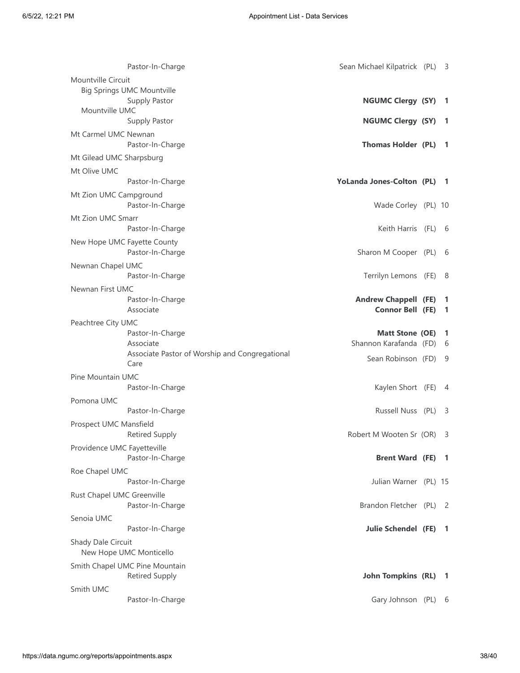| Pastor-In-Charge                                        | Sean Michael Kilpatrick (PL)                    | - 3               |
|---------------------------------------------------------|-------------------------------------------------|-------------------|
| Mountville Circuit                                      |                                                 |                   |
| <b>Big Springs UMC Mountville</b><br>Supply Pastor      | <b>NGUMC Clergy (SY)</b>                        | $\overline{1}$    |
| Mountville UMC<br>Supply Pastor                         | <b>NGUMC Clergy (SY)</b>                        | -1                |
| Mt Carmel UMC Newnan<br>Pastor-In-Charge                | <b>Thomas Holder (PL)</b>                       | $\blacksquare$    |
| Mt Gilead UMC Sharpsburg                                |                                                 |                   |
| Mt Olive UMC                                            |                                                 |                   |
| Pastor-In-Charge                                        | YoLanda Jones-Colton (PL) 1                     |                   |
| Mt Zion UMC Campground<br>Pastor-In-Charge              | Wade Corley (PL) 10                             |                   |
| Mt Zion UMC Smarr<br>Pastor-In-Charge                   | Keith Harris (FL) 6                             |                   |
| New Hope UMC Fayette County<br>Pastor-In-Charge         | Sharon M Cooper (PL)                            | 6                 |
| Newnan Chapel UMC<br>Pastor-In-Charge                   | Terrilyn Lemons (FE)                            | - 8               |
| Newnan First UMC<br>Pastor-In-Charge<br>Associate       | <b>Andrew Chappell (FE)</b><br>Connor Bell (FE) | -1<br>-1          |
| Peachtree City UMC                                      |                                                 |                   |
| Pastor-In-Charge<br>Associate                           | Matt Stone (OE)<br>Shannon Karafanda (FD)       | $\mathbf{1}$<br>6 |
| Associate Pastor of Worship and Congregational<br>Care  | Sean Robinson (FD)                              | - 9               |
| Pine Mountain UMC<br>Pastor-In-Charge                   | Kaylen Short (FE)                               | 4                 |
| Pomona UMC                                              |                                                 |                   |
| Pastor-In-Charge                                        | Russell Nuss (PL)                               | - 3               |
| Prospect UMC Mansfield<br><b>Retired Supply</b>         | Robert M Wooten Sr (OR)                         | -3                |
| Providence UMC Fayetteville<br>Pastor-In-Charge         | <b>Brent Ward (FE) 1</b>                        |                   |
| Roe Chapel UMC                                          |                                                 |                   |
| Pastor-In-Charge<br>Rust Chapel UMC Greenville          | Julian Warner (PL) 15                           |                   |
| Pastor-In-Charge                                        | Brandon Fletcher (PL)                           | - 2               |
| Senoia UMC                                              |                                                 |                   |
| Pastor-In-Charge<br>Shady Dale Circuit                  | <b>Julie Schendel (FE)</b>                      | -1                |
| New Hope UMC Monticello                                 |                                                 |                   |
| Smith Chapel UMC Pine Mountain<br><b>Retired Supply</b> | <b>John Tompkins (RL)</b>                       | -1                |
| Smith UMC                                               |                                                 |                   |
| Pastor-In-Charge                                        | Gary Johnson (PL)                               | - 6               |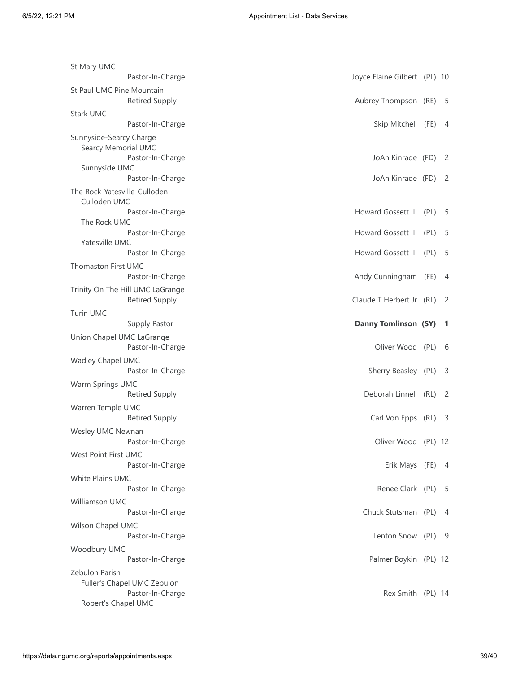| St Mary UMC                                               |                              |     |
|-----------------------------------------------------------|------------------------------|-----|
| Pastor-In-Charge                                          | Joyce Elaine Gilbert (PL) 10 |     |
| St Paul UMC Pine Mountain<br><b>Retired Supply</b>        | Aubrey Thompson (RE)         | -5  |
| Stark UMC                                                 |                              |     |
| Pastor-In-Charge                                          | Skip Mitchell (FE)           | -4  |
| Sunnyside-Searcy Charge<br><b>Searcy Memorial UMC</b>     |                              |     |
| Pastor-In-Charge<br>Sunnyside UMC                         | JoAn Kinrade (FD) 2          |     |
| Pastor-In-Charge                                          | JoAn Kinrade (FD) 2          |     |
| The Rock-Yatesville-Culloden<br>Culloden UMC              |                              |     |
| Pastor-In-Charge<br>The Rock UMC                          | Howard Gossett III (PL)      | - 5 |
| Pastor-In-Charge                                          | Howard Gossett III (PL)      | -5  |
| Yatesville UMC<br>Pastor-In-Charge                        | Howard Gossett III (PL)      | - 5 |
| Thomaston First UMC<br>Pastor-In-Charge                   | Andy Cunningham (FE)         | -4  |
| Trinity On The Hill UMC LaGrange<br><b>Retired Supply</b> | Claude T Herbert Jr (RL) 2   |     |
| <b>Turin UMC</b>                                          |                              |     |
| Supply Pastor                                             | <b>Danny Tomlinson (SY)</b>  | -1  |
| Union Chapel UMC LaGrange                                 |                              |     |
| Pastor-In-Charge                                          | Oliver Wood (PL)             | - 6 |
| Wadley Chapel UMC<br>Pastor-In-Charge                     | Sherry Beasley (PL)          | -3  |
|                                                           |                              |     |
| Warm Springs UMC<br><b>Retired Supply</b>                 | Deborah Linnell (RL)         | -2  |
| Warren Temple UMC                                         |                              | - 3 |
| <b>Retired Supply</b>                                     | Carl Von Epps (RL)           |     |
| Wesley UMC Newnan<br>Pastor-In-Charge                     | Oliver Wood (PL) 12          |     |
| West Point First UMC                                      |                              | - 4 |
| Pastor-In-Charge                                          | Erik Mays (FE)               |     |
| White Plains UMC<br>Pastor-In-Charge                      | Renee Clark (PL) 5           |     |
| <b>Williamson UMC</b>                                     |                              |     |
| Pastor-In-Charge                                          | Chuck Stutsman (PL) 4        |     |
| Wilson Chapel UMC                                         |                              |     |
| Pastor-In-Charge                                          | Lenton Snow (PL) 9           |     |
| Woodbury UMC                                              |                              |     |
| Pastor-In-Charge                                          | Palmer Boykin (PL) 12        |     |
| Zebulon Parish                                            |                              |     |
| Fuller's Chapel UMC Zebulon<br>Pastor-In-Charge           | Rex Smith (PL) 14            |     |